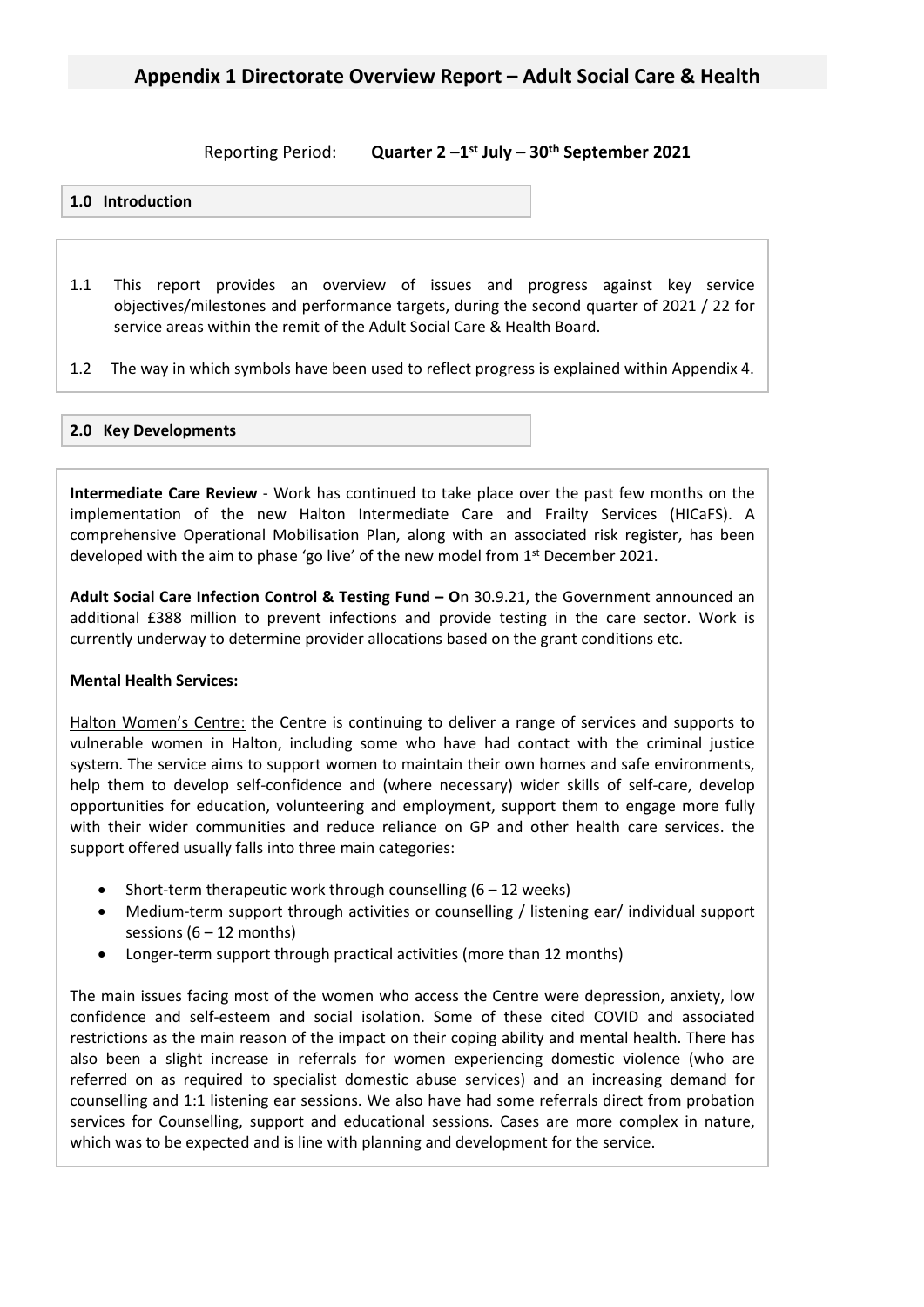**Reporting Period: st July – 30th September 2021**

#### **1.0 Introduction**

- 1.1 This report provides an overview of issues and progress against key service objectives/milestones and performance targets, during the second quarter of 2021 / 22 for service areas within the remit of the Adult Social Care & Health Board.
- 1.2 The way in which symbols have been used to reflect progress is explained within Appendix 4.

#### **2.0 Key Developments**

**Intermediate Care Review** - Work has continued to take place over the past few months on the implementation of the new Halton Intermediate Care and Frailty Services (HICaFS). A comprehensive Operational Mobilisation Plan, along with an associated risk register, has been developed with the aim to phase 'go live' of the new model from 1<sup>st</sup> December 2021.

**Adult Social Care Infection Control & Testing Fund – O**n 30.9.21, the Government announced an additional £388 million to prevent infections and provide testing in the care sector. Work is currently underway to determine provider allocations based on the grant conditions etc.

#### **Mental Health Services:**

Halton Women's Centre: the Centre is continuing to deliver a range of services and supports to vulnerable women in Halton, including some who have had contact with the criminal justice system. The service aims to support women to maintain their own homes and safe environments, help them to develop self-confidence and (where necessary) wider skills of self-care, develop opportunities for education, volunteering and employment, support them to engage more fully with their wider communities and reduce reliance on GP and other health care services. the support offered usually falls into three main categories:

- Short-term therapeutic work through counselling  $(6 12$  weeks)
- Medium-term support through activities or counselling / listening ear/ individual support sessions  $(6 - 12$  months)
- Longer-term support through practical activities (more than 12 months)

The main issues facing most of the women who access the Centre were depression, anxiety, low confidence and self-esteem and social isolation. Some of these cited COVID and associated restrictions as the main reason of the impact on their coping ability and mental health. There has also been a slight increase in referrals for women experiencing domestic violence (who are referred on as required to specialist domestic abuse services) and an increasing demand for counselling and 1:1 listening ear sessions. We also have had some referrals direct from probation services for Counselling, support and educational sessions. Cases are more complex in nature, which was to be expected and is line with planning and development for the service.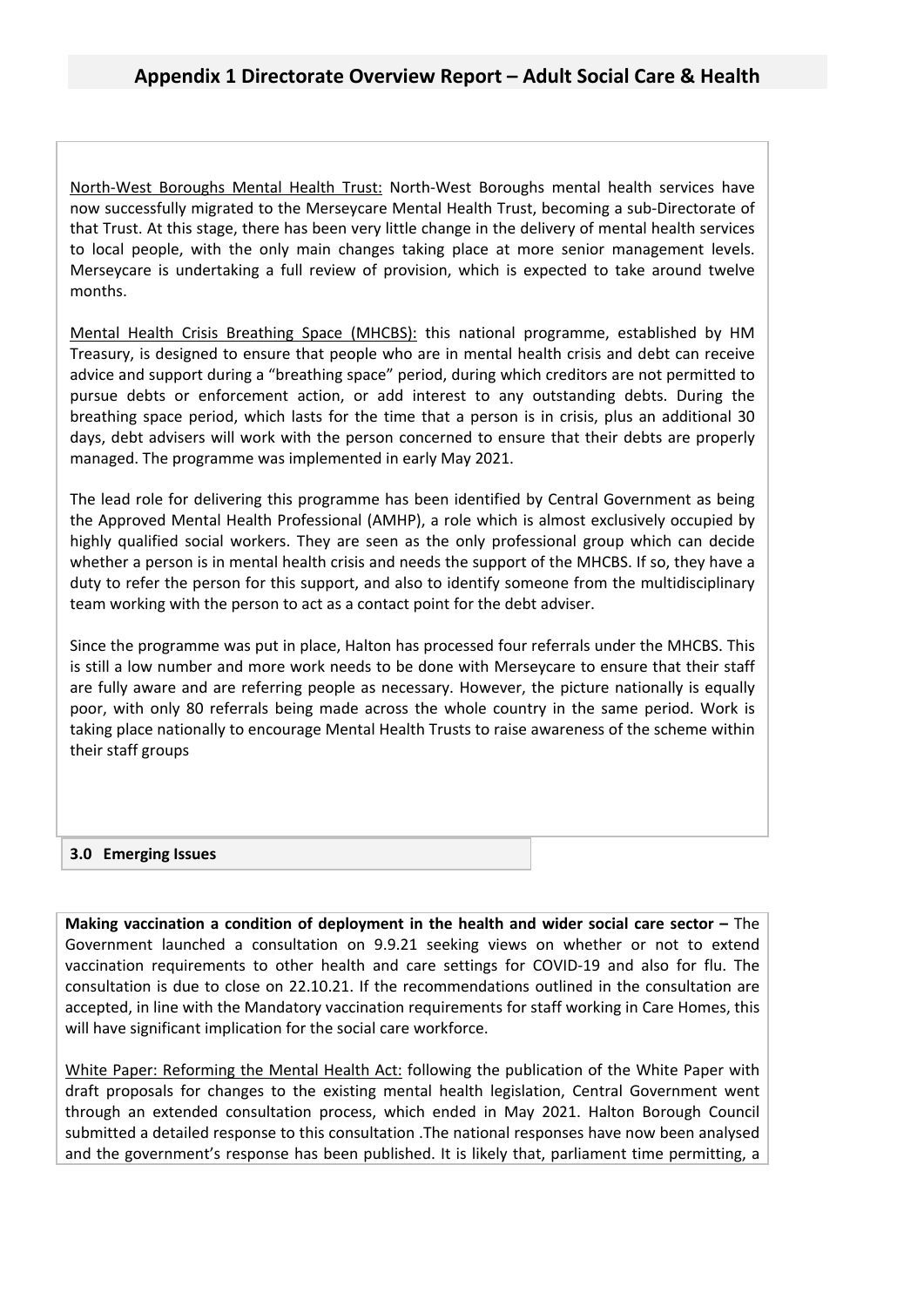North-West Boroughs Mental Health Trust: North-West Boroughs mental health services have now successfully migrated to the Merseycare Mental Health Trust, becoming a sub-Directorate of that Trust. At this stage, there has been very little change in the delivery of mental health services to local people, with the only main changes taking place at more senior management levels. Merseycare is undertaking a full review of provision, which is expected to take around twelve months.

Mental Health Crisis Breathing Space (MHCBS): this national programme, established by HM Treasury, is designed to ensure that people who are in mental health crisis and debt can receive advice and support during a "breathing space" period, during which creditors are not permitted to pursue debts or enforcement action, or add interest to any outstanding debts. During the breathing space period, which lasts for the time that a person is in crisis, plus an additional 30 days, debt advisers will work with the person concerned to ensure that their debts are properly managed. The programme was implemented in early May 2021.

The lead role for delivering this programme has been identified by Central Government as being the Approved Mental Health Professional (AMHP), a role which is almost exclusively occupied by highly qualified social workers. They are seen as the only professional group which can decide whether a person is in mental health crisis and needs the support of the MHCBS. If so, they have a duty to refer the person for this support, and also to identify someone from the multidisciplinary team working with the person to act as a contact point for the debt adviser.

Since the programme was put in place, Halton has processed four referrals under the MHCBS. This is still a low number and more work needs to be done with Merseycare to ensure that their staff are fully aware and are referring people as necessary. However, the picture nationally is equally poor, with only 80 referrals being made across the whole country in the same period. Work is taking place nationally to encourage Mental Health Trusts to raise awareness of the scheme within their staff groups

#### **3.0 Emerging Issues**

**Making vaccination a condition of deployment in the health and wider social care sector –** The Government launched a consultation on 9.9.21 seeking views on whether or not to extend vaccination requirements to other health and care settings for COVID-19 and also for flu. The consultation is due to close on 22.10.21. If the recommendations outlined in the consultation are accepted, in line with the Mandatory vaccination requirements for staff working in Care Homes, this will have significant implication for the social care workforce.

White Paper: Reforming the Mental Health Act: following the publication of the White Paper with draft proposals for changes to the existing mental health legislation, Central Government went through an extended consultation process, which ended in May 2021. Halton Borough Council submitted a detailed response to this consultation .The national responses have now been analysed and the government's response has been published. It is likely that, parliament time permitting, a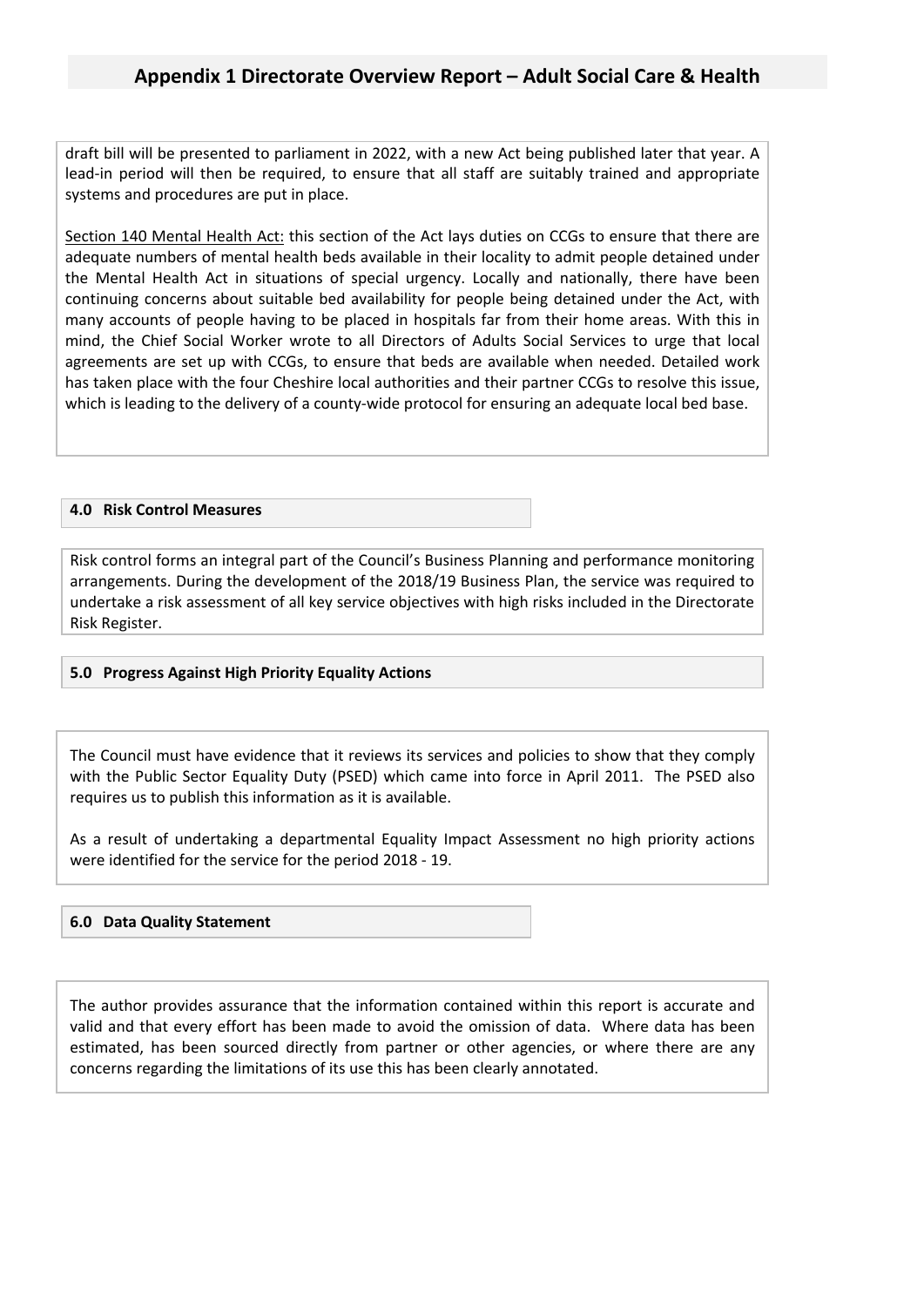draft bill will be presented to parliament in 2022, with a new Act being published later that year. A lead-in period will then be required, to ensure that all staff are suitably trained and appropriate systems and procedures are put in place.

Section 140 Mental Health Act: this section of the Act lays duties on CCGs to ensure that there are adequate numbers of mental health beds available in their locality to admit people detained under the Mental Health Act in situations of special urgency. Locally and nationally, there have been continuing concerns about suitable bed availability for people being detained under the Act, with many accounts of people having to be placed in hospitals far from their home areas. With this in mind, the Chief Social Worker wrote to all Directors of Adults Social Services to urge that local agreements are set up with CCGs, to ensure that beds are available when needed. Detailed work has taken place with the four Cheshire local authorities and their partner CCGs to resolve this issue, which is leading to the delivery of a county-wide protocol for ensuring an adequate local bed base.

#### **4.0 Risk Control Measures**

Risk control forms an integral part of the Council's Business Planning and performance monitoring arrangements. During the development of the 2018/19 Business Plan, the service was required to undertake a risk assessment of all key service objectives with high risks included in the Directorate Risk Register.

#### **5.0 Progress Against High Priority Equality Actions**

The Council must have evidence that it reviews its services and policies to show that they comply with the Public Sector Equality Duty (PSED) which came into force in April 2011. The PSED also requires us to publish this information as it is available.

As a result of undertaking a departmental Equality Impact Assessment no high priority actions were identified for the service for the period 2018 - 19.

#### **6.0 Data Quality Statement**

The author provides assurance that the information contained within this report is accurate and valid and that every effort has been made to avoid the omission of data. Where data has been estimated, has been sourced directly from partner or other agencies, or where there are any concerns regarding the limitations of its use this has been clearly annotated.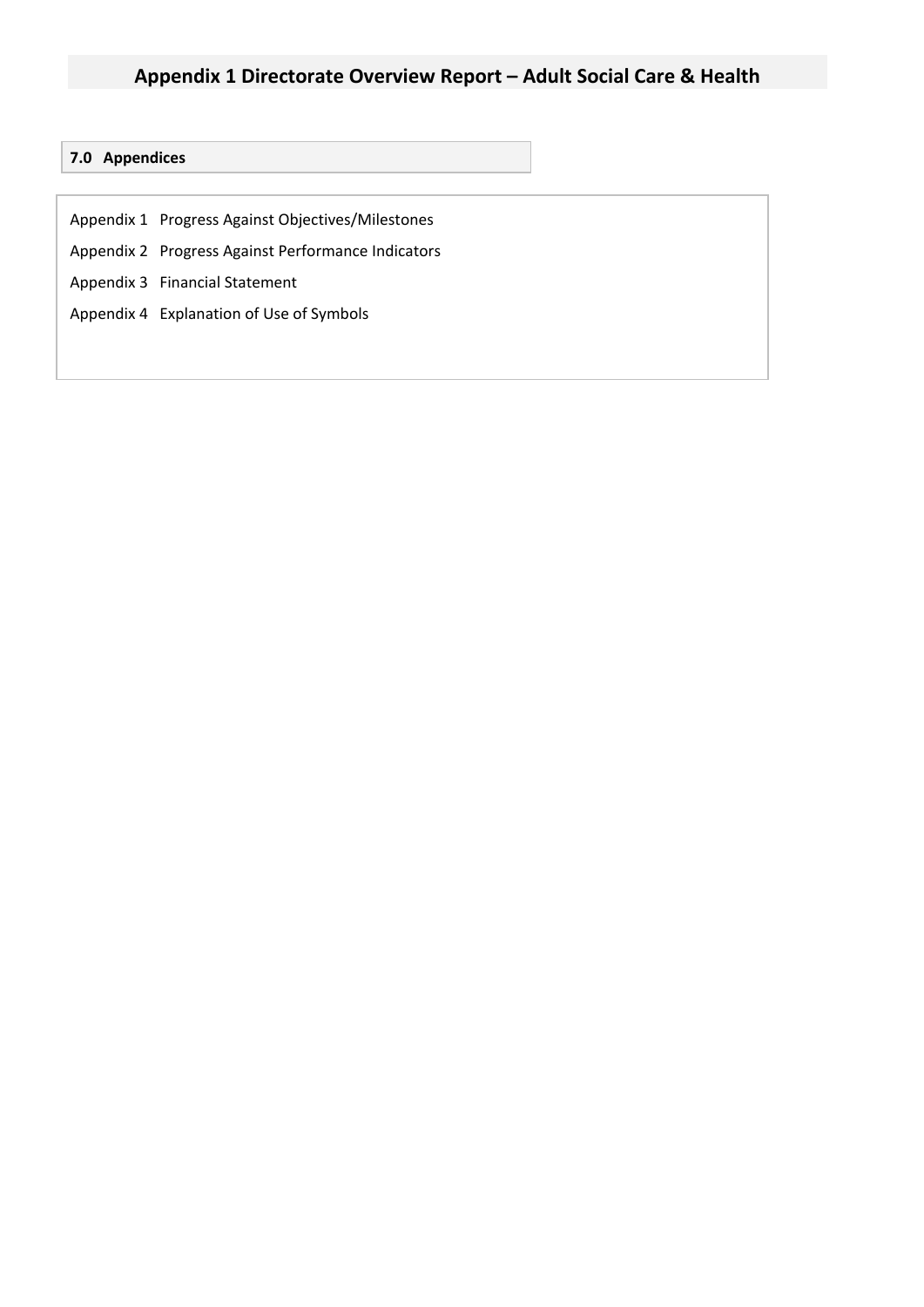### **Appendix 1 Directorate Overview Report – Adult Social Care & Health**

#### **7.0 Appendices**

- Appendix 1 Progress Against Objectives/Milestones
- Appendix 2 Progress Against Performance Indicators
- Appendix 3 Financial Statement
- Appendix 4 Explanation of Use of Symbols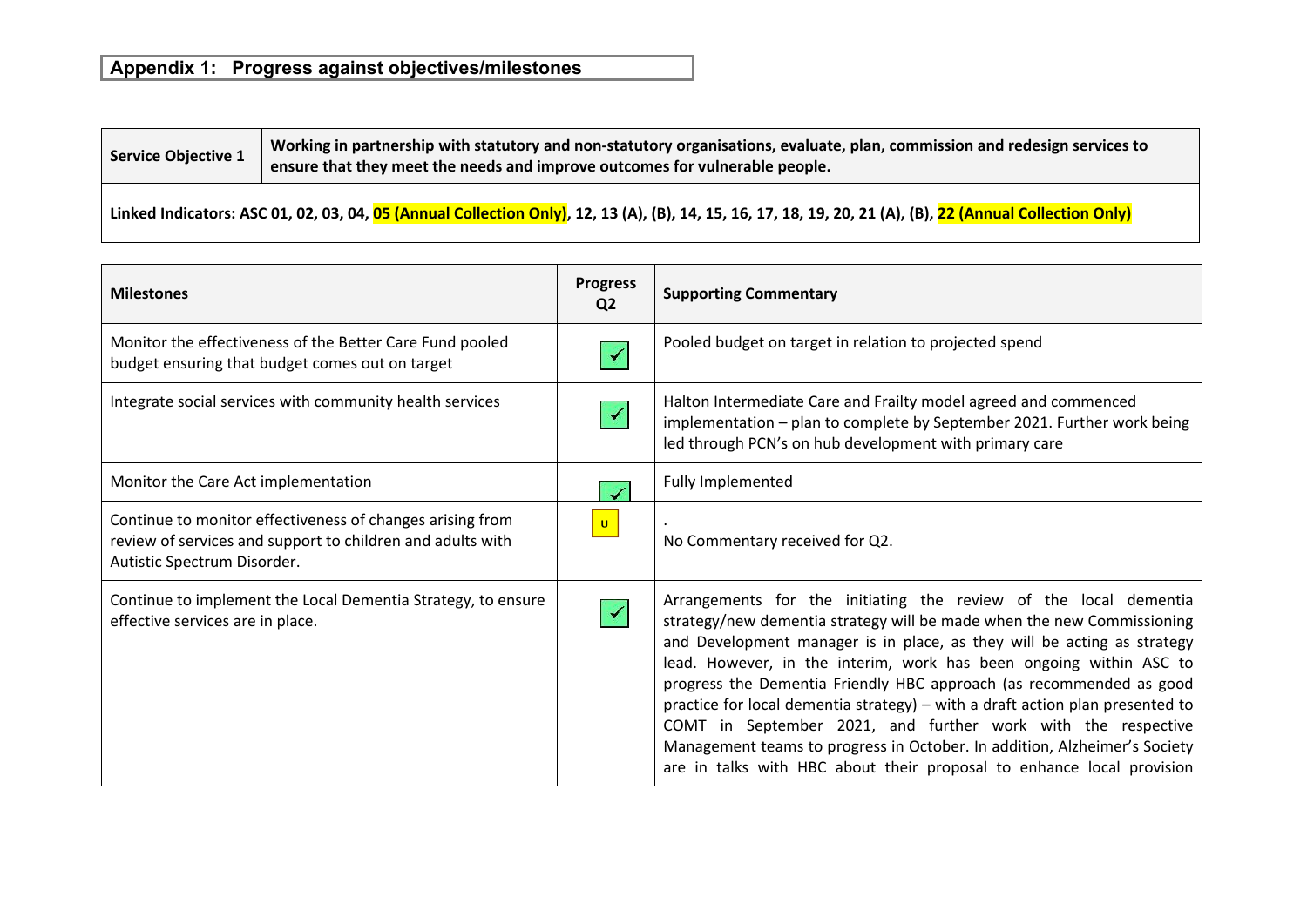## **Appendix 1: Progress against objectives/milestones**

| <b>Service Objective 1</b> | Working in partnership with statutory and non-statutory organisations, evaluate, plan, commission and redesign services to |
|----------------------------|----------------------------------------------------------------------------------------------------------------------------|
|                            | ensure that they meet the needs and improve outcomes for vulnerable people.                                                |

### Linked Indicators: ASC 01, 02, 03, 04, 05 (Annual Collection Only), 12, 13 (A), (B), 14, 15, 16, 17, 18, 19, 20, 21 (A), (B), 22 (Annual Collection Only)

| <b>Milestones</b>                                                                                                                                      | <b>Progress</b><br>Q <sub>2</sub> | <b>Supporting Commentary</b>                                                                                                                                                                                                                                                                                                                                                                                                                                                                                                                                                                                                                                              |
|--------------------------------------------------------------------------------------------------------------------------------------------------------|-----------------------------------|---------------------------------------------------------------------------------------------------------------------------------------------------------------------------------------------------------------------------------------------------------------------------------------------------------------------------------------------------------------------------------------------------------------------------------------------------------------------------------------------------------------------------------------------------------------------------------------------------------------------------------------------------------------------------|
| Monitor the effectiveness of the Better Care Fund pooled<br>budget ensuring that budget comes out on target                                            |                                   | Pooled budget on target in relation to projected spend                                                                                                                                                                                                                                                                                                                                                                                                                                                                                                                                                                                                                    |
| Integrate social services with community health services                                                                                               |                                   | Halton Intermediate Care and Frailty model agreed and commenced<br>implementation - plan to complete by September 2021. Further work being<br>led through PCN's on hub development with primary care                                                                                                                                                                                                                                                                                                                                                                                                                                                                      |
| Monitor the Care Act implementation                                                                                                                    |                                   | Fully Implemented                                                                                                                                                                                                                                                                                                                                                                                                                                                                                                                                                                                                                                                         |
| Continue to monitor effectiveness of changes arising from<br>review of services and support to children and adults with<br>Autistic Spectrum Disorder. | $\mathbf{U}$                      | No Commentary received for Q2.                                                                                                                                                                                                                                                                                                                                                                                                                                                                                                                                                                                                                                            |
| Continue to implement the Local Dementia Strategy, to ensure<br>effective services are in place.                                                       |                                   | Arrangements for the initiating the review of the local dementia<br>strategy/new dementia strategy will be made when the new Commissioning<br>and Development manager is in place, as they will be acting as strategy<br>lead. However, in the interim, work has been ongoing within ASC to<br>progress the Dementia Friendly HBC approach (as recommended as good<br>practice for local dementia strategy) - with a draft action plan presented to<br>COMT in September 2021, and further work with the respective<br>Management teams to progress in October. In addition, Alzheimer's Society<br>are in talks with HBC about their proposal to enhance local provision |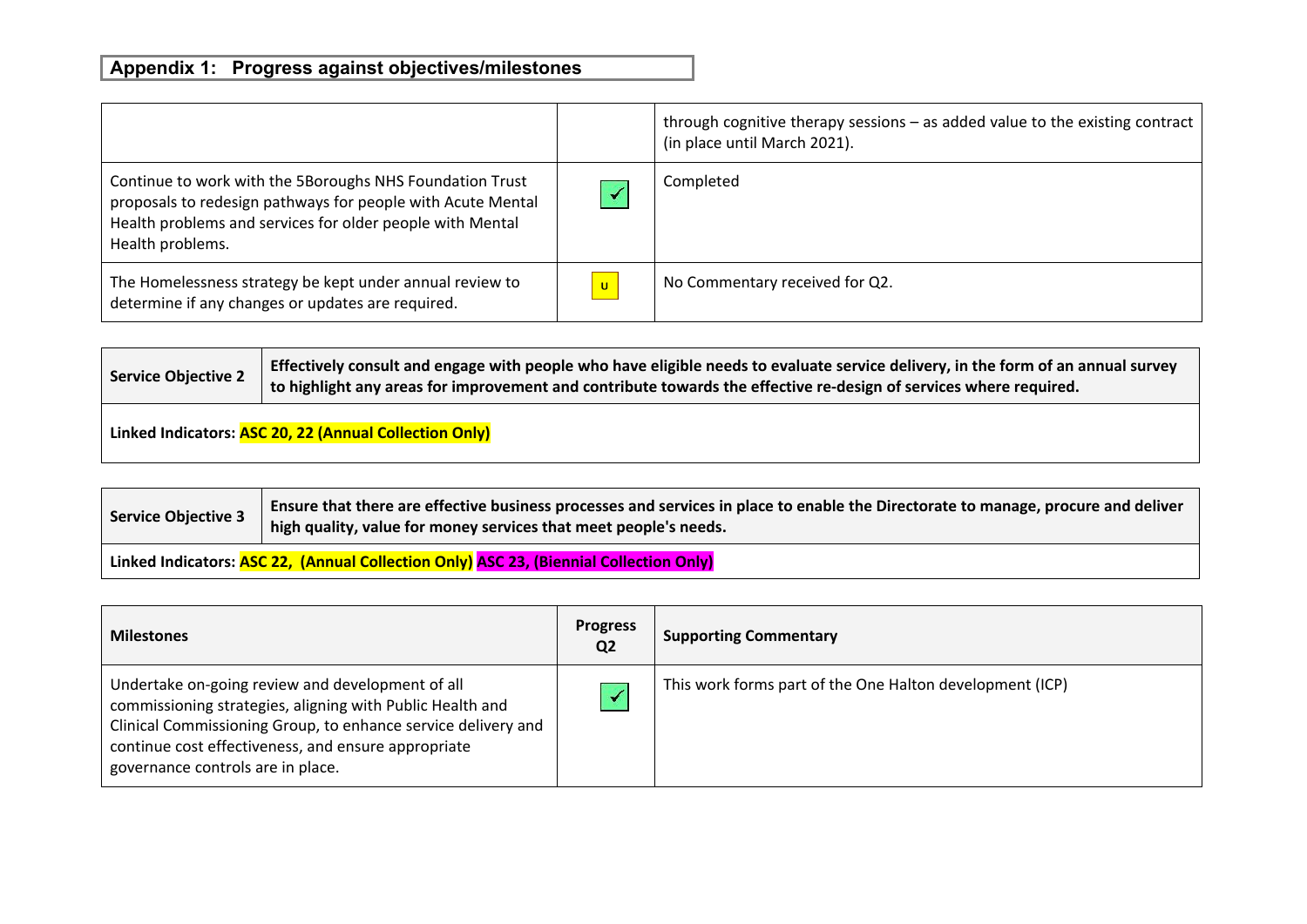|                                                                                                                                                                                                          |                          | through cognitive therapy sessions - as added value to the existing contract<br>(in place until March 2021). |
|----------------------------------------------------------------------------------------------------------------------------------------------------------------------------------------------------------|--------------------------|--------------------------------------------------------------------------------------------------------------|
| Continue to work with the 5Boroughs NHS Foundation Trust<br>proposals to redesign pathways for people with Acute Mental<br>Health problems and services for older people with Mental<br>Health problems. |                          | Completed                                                                                                    |
| The Homelessness strategy be kept under annual review to<br>determine if any changes or updates are required.                                                                                            | $\vert \mathsf{u} \vert$ | No Commentary received for Q2.                                                                               |

| <b>Service Objective 2</b> | Effectively consult and engage with people who have eligible needs to evaluate service delivery, in the form of an annual survey<br>to highlight any areas for improvement and contribute towards the effective re-design of services where required. |
|----------------------------|-------------------------------------------------------------------------------------------------------------------------------------------------------------------------------------------------------------------------------------------------------|
|                            | Linked Indicators: ASC 20, 22 (Annual Collection Only)                                                                                                                                                                                                |

| <b>Service Objective 3</b> | Ensure that there are effective business processes and services in place to enable the Directorate to manage, procure and deliver<br>high quality, value for money services that meet people's needs. |
|----------------------------|-------------------------------------------------------------------------------------------------------------------------------------------------------------------------------------------------------|
|                            | Linked Indicators: ASC 22, (Annual Collection Only) ASC 23, (Biennial Collection Only)                                                                                                                |

| <b>Milestones</b>                                                                                                                                                                                                                                                          | <b>Progress</b><br>Q <sub>2</sub> | <b>Supporting Commentary</b>                             |
|----------------------------------------------------------------------------------------------------------------------------------------------------------------------------------------------------------------------------------------------------------------------------|-----------------------------------|----------------------------------------------------------|
| Undertake on-going review and development of all<br>commissioning strategies, aligning with Public Health and<br>Clinical Commissioning Group, to enhance service delivery and<br>continue cost effectiveness, and ensure appropriate<br>governance controls are in place. |                                   | This work forms part of the One Halton development (ICP) |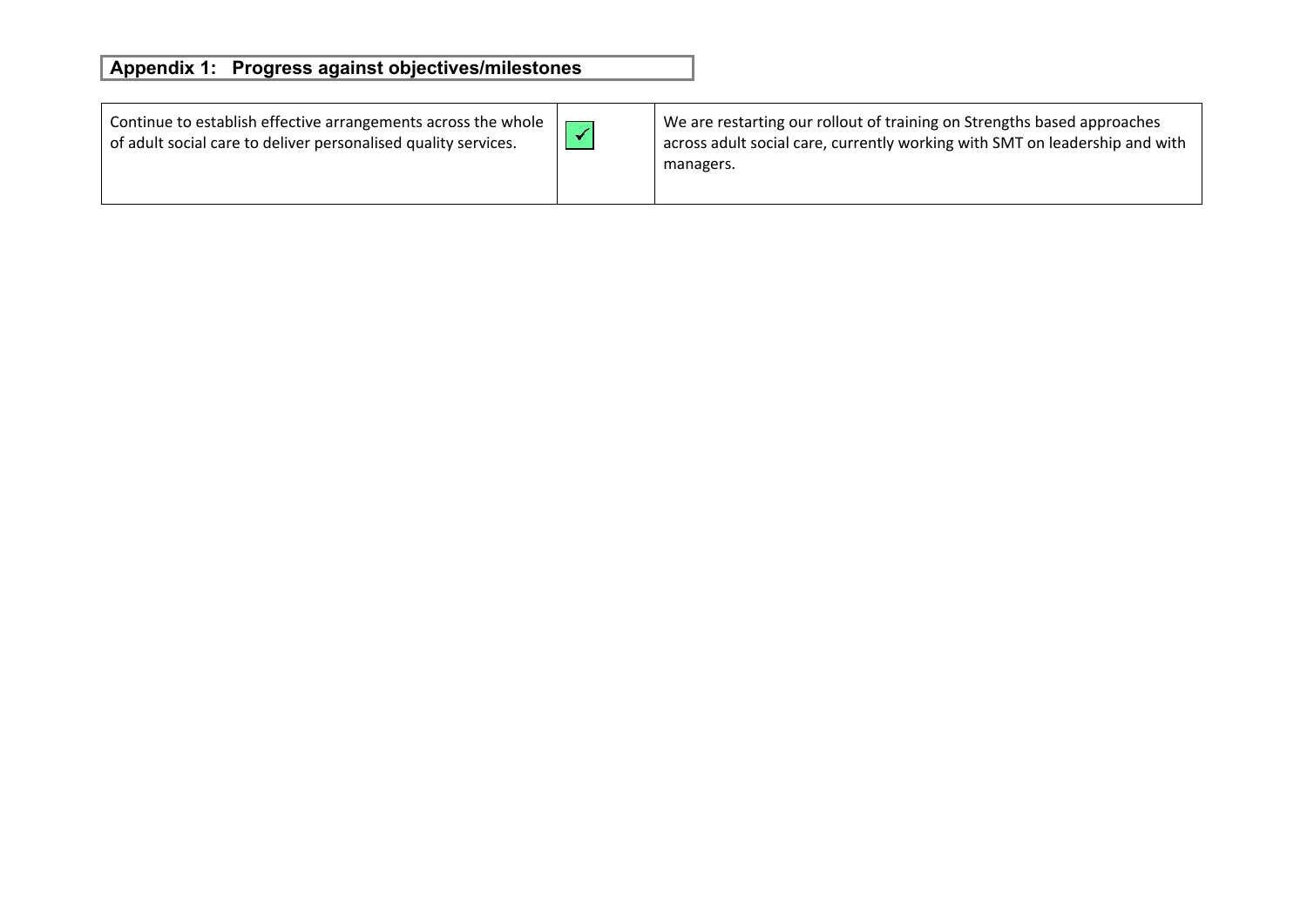# **Appendix 1: Progress against objectives/milestones**

| Continue to establish effective arrangements across the whole $\parallel$<br>of adult social care to deliver personalised quality services. | We are restarting our rollout of training on Strengths based approaches<br>$\overline{a}$ across adult social care, currently working with SMT on leadership and with<br>managers. |
|---------------------------------------------------------------------------------------------------------------------------------------------|------------------------------------------------------------------------------------------------------------------------------------------------------------------------------------|
|                                                                                                                                             |                                                                                                                                                                                    |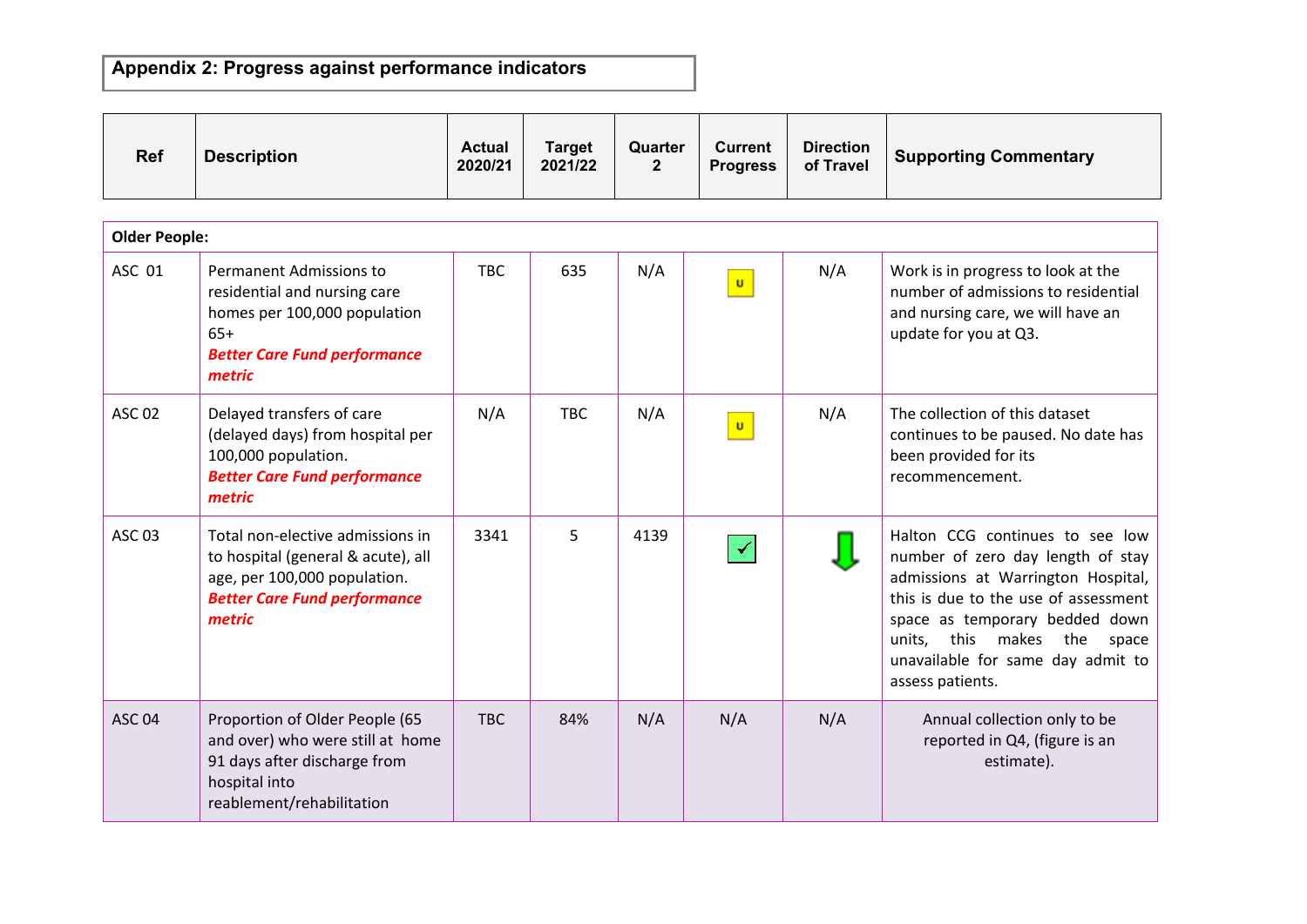| <b>Ref</b>           | <b>Description</b>                                                                                                                                      | <b>Actual</b><br>2020/21 | <b>Target</b><br>2021/22 | Quarter<br>$\overline{2}$ | <b>Current</b><br><b>Progress</b> | <b>Direction</b><br>of Travel | <b>Supporting Commentary</b>                                                                                                                                                                                                                                                          |
|----------------------|---------------------------------------------------------------------------------------------------------------------------------------------------------|--------------------------|--------------------------|---------------------------|-----------------------------------|-------------------------------|---------------------------------------------------------------------------------------------------------------------------------------------------------------------------------------------------------------------------------------------------------------------------------------|
| <b>Older People:</b> |                                                                                                                                                         |                          |                          |                           |                                   |                               |                                                                                                                                                                                                                                                                                       |
| ASC 01               | Permanent Admissions to<br>residential and nursing care<br>homes per 100,000 population<br>$65+$<br><b>Better Care Fund performance</b><br>metric       | <b>TBC</b>               | 635                      | N/A                       | $\mathbf{u}$                      | N/A                           | Work is in progress to look at the<br>number of admissions to residential<br>and nursing care, we will have an<br>update for you at Q3.                                                                                                                                               |
| <b>ASC 02</b>        | Delayed transfers of care<br>(delayed days) from hospital per<br>100,000 population.<br><b>Better Care Fund performance</b><br>metric                   | N/A                      | <b>TBC</b>               | N/A                       | $\mathbf{u}$                      | N/A                           | The collection of this dataset<br>continues to be paused. No date has<br>been provided for its<br>recommencement.                                                                                                                                                                     |
| <b>ASC 03</b>        | Total non-elective admissions in<br>to hospital (general & acute), all<br>age, per 100,000 population.<br><b>Better Care Fund performance</b><br>metric | 3341                     | 5                        | 4139                      |                                   |                               | Halton CCG continues to see low<br>number of zero day length of stay<br>admissions at Warrington Hospital,<br>this is due to the use of assessment<br>space as temporary bedded down<br>makes the<br>this<br>units,<br>space<br>unavailable for same day admit to<br>assess patients. |
| <b>ASC 04</b>        | Proportion of Older People (65<br>and over) who were still at home<br>91 days after discharge from<br>hospital into<br>reablement/rehabilitation        | <b>TBC</b>               | 84%                      | N/A                       | N/A                               | N/A                           | Annual collection only to be<br>reported in Q4, (figure is an<br>estimate).                                                                                                                                                                                                           |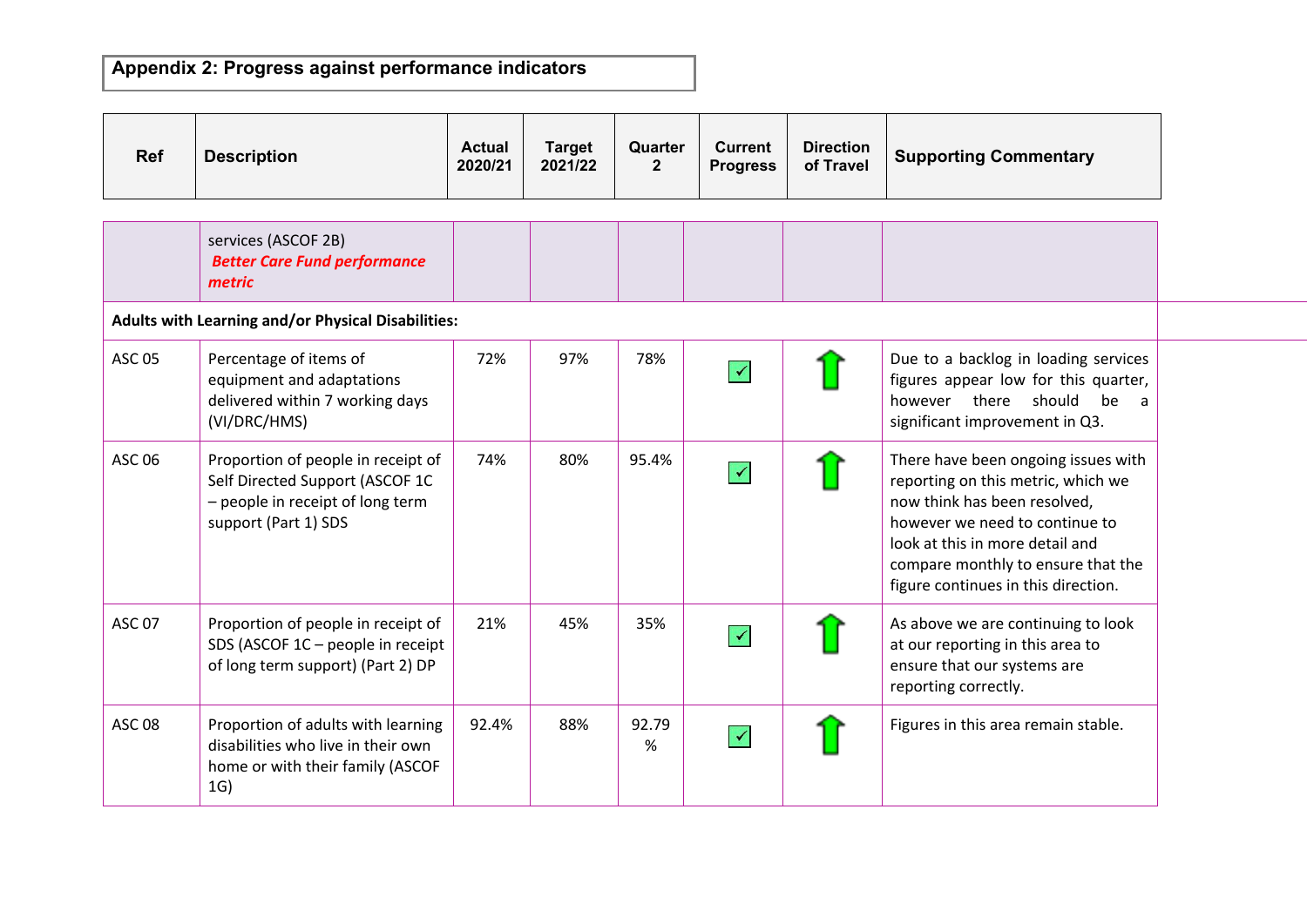| Ref           | <b>Description</b>                                                                                                                | <b>Actual</b><br>2020/21 | <b>Target</b><br>2021/22 | Quarter<br>$\overline{2}$ | <b>Current</b><br><b>Progress</b> | <b>Direction</b><br>of Travel | <b>Supporting Commentary</b>                                                                                                                                                                                                                                |
|---------------|-----------------------------------------------------------------------------------------------------------------------------------|--------------------------|--------------------------|---------------------------|-----------------------------------|-------------------------------|-------------------------------------------------------------------------------------------------------------------------------------------------------------------------------------------------------------------------------------------------------------|
|               |                                                                                                                                   |                          |                          |                           |                                   |                               |                                                                                                                                                                                                                                                             |
|               | services (ASCOF 2B)<br><b>Better Care Fund performance</b><br>metric                                                              |                          |                          |                           |                                   |                               |                                                                                                                                                                                                                                                             |
|               | Adults with Learning and/or Physical Disabilities:                                                                                |                          |                          |                           |                                   |                               |                                                                                                                                                                                                                                                             |
| <b>ASC 05</b> | Percentage of items of<br>equipment and adaptations<br>delivered within 7 working days<br>(VI/DRC/HMS)                            | 72%                      | 97%                      | 78%                       | $\blacktriangledown$              |                               | Due to a backlog in loading services<br>figures appear low for this quarter,<br>however there should be a<br>significant improvement in Q3.                                                                                                                 |
| <b>ASC 06</b> | Proportion of people in receipt of<br>Self Directed Support (ASCOF 1C<br>- people in receipt of long term<br>support (Part 1) SDS | 74%                      | 80%                      | 95.4%                     | $\blacktriangledown$              |                               | There have been ongoing issues with<br>reporting on this metric, which we<br>now think has been resolved.<br>however we need to continue to<br>look at this in more detail and<br>compare monthly to ensure that the<br>figure continues in this direction. |
| <b>ASC 07</b> | Proportion of people in receipt of<br>SDS (ASCOF 1C - people in receipt<br>of long term support) (Part 2) DP                      | 21%                      | 45%                      | 35%                       | $\bigvee$                         |                               | As above we are continuing to look<br>at our reporting in this area to<br>ensure that our systems are<br>reporting correctly.                                                                                                                               |
| <b>ASC 08</b> | Proportion of adults with learning<br>disabilities who live in their own<br>home or with their family (ASCOF<br>1G)               | 92.4%                    | 88%                      | 92.79<br>%                | $\blacktriangledown$              |                               | Figures in this area remain stable.                                                                                                                                                                                                                         |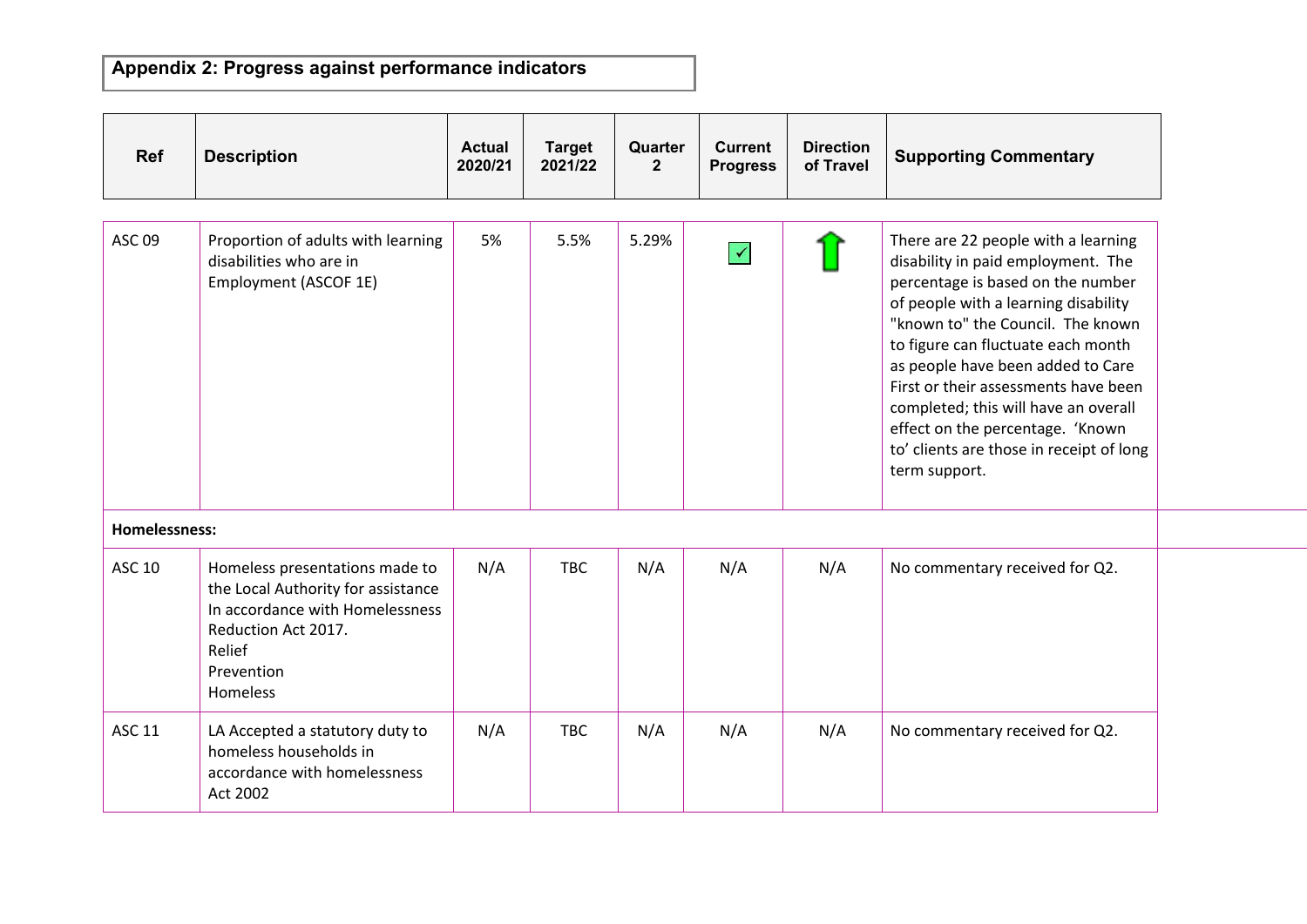| <b>Ref</b>           | <b>Description</b>                                                                                                                                                 | <b>Actual</b><br>2020/21 | <b>Target</b><br>2021/22 | Quarter<br>$\overline{2}$ | <b>Current</b><br><b>Progress</b> | <b>Direction</b><br>of Travel | <b>Supporting Commentary</b>                                                                                                                                                                                                                                                                                                                                                                                                                            |
|----------------------|--------------------------------------------------------------------------------------------------------------------------------------------------------------------|--------------------------|--------------------------|---------------------------|-----------------------------------|-------------------------------|---------------------------------------------------------------------------------------------------------------------------------------------------------------------------------------------------------------------------------------------------------------------------------------------------------------------------------------------------------------------------------------------------------------------------------------------------------|
| <b>ASC 09</b>        | Proportion of adults with learning<br>disabilities who are in<br>Employment (ASCOF 1E)                                                                             | 5%                       | 5.5%                     | 5.29%                     | $\blacktriangledown$              |                               | There are 22 people with a learning<br>disability in paid employment. The<br>percentage is based on the number<br>of people with a learning disability<br>"known to" the Council. The known<br>to figure can fluctuate each month<br>as people have been added to Care<br>First or their assessments have been<br>completed; this will have an overall<br>effect on the percentage. 'Known<br>to' clients are those in receipt of long<br>term support. |
| <b>Homelessness:</b> |                                                                                                                                                                    |                          |                          |                           |                                   |                               |                                                                                                                                                                                                                                                                                                                                                                                                                                                         |
| ASC 10               | Homeless presentations made to<br>the Local Authority for assistance<br>In accordance with Homelessness<br>Reduction Act 2017.<br>Relief<br>Prevention<br>Homeless | N/A                      | TBC                      | N/A                       | N/A                               | N/A                           | No commentary received for Q2.                                                                                                                                                                                                                                                                                                                                                                                                                          |
| ASC 11               | LA Accepted a statutory duty to<br>homeless households in<br>accordance with homelessness<br>Act 2002                                                              | N/A                      | TBC                      | N/A                       | N/A                               | N/A                           | No commentary received for Q2.                                                                                                                                                                                                                                                                                                                                                                                                                          |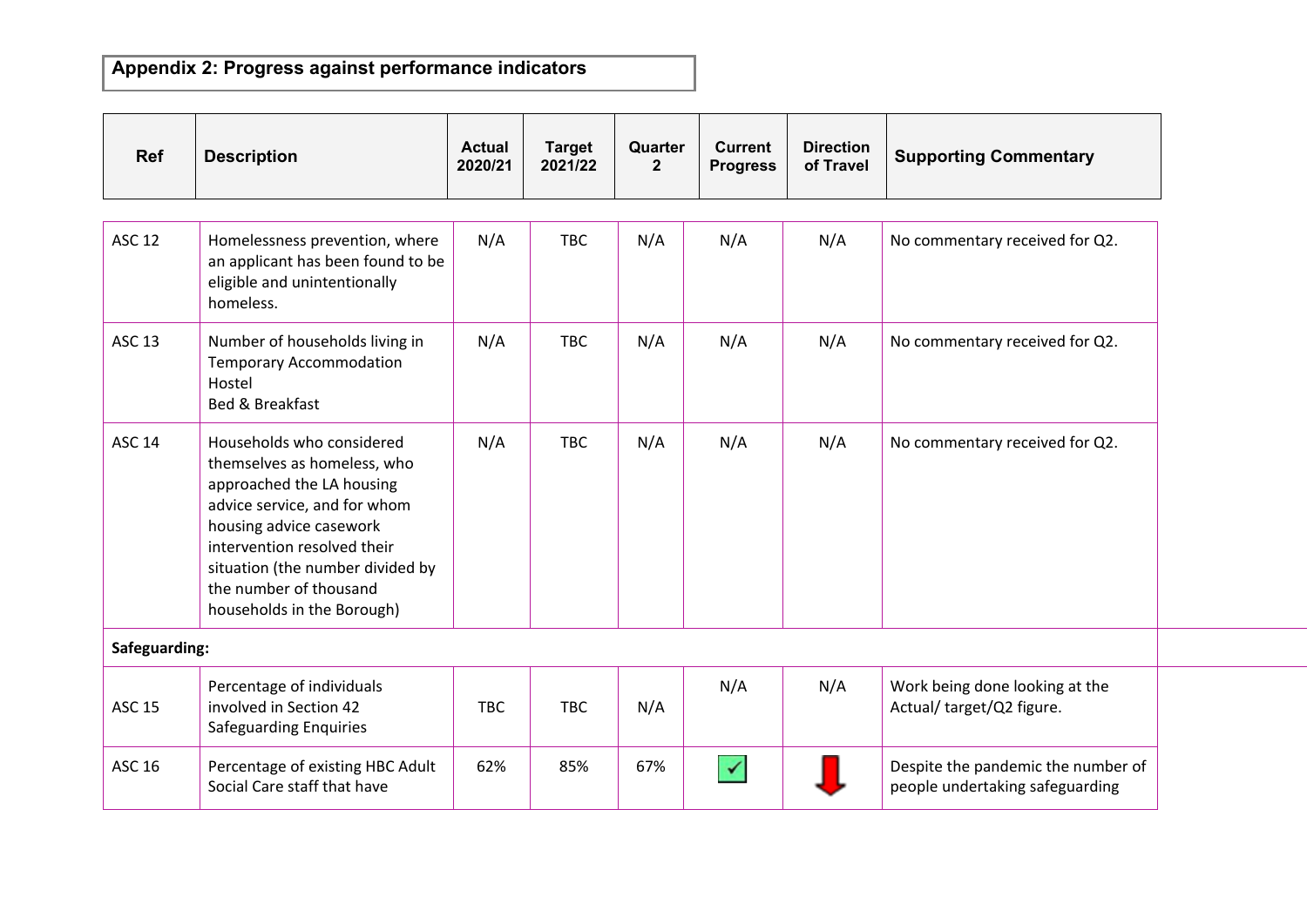| <b>Ref</b>    | <b>Description</b>                                                                                                                                                                                                                                                          | <b>Actual</b><br>2020/21 | <b>Target</b><br>2021/22 | Quarter<br>$\overline{2}$ | <b>Current</b><br><b>Progress</b> | <b>Direction</b><br>of Travel | <b>Supporting Commentary</b>                                          |
|---------------|-----------------------------------------------------------------------------------------------------------------------------------------------------------------------------------------------------------------------------------------------------------------------------|--------------------------|--------------------------|---------------------------|-----------------------------------|-------------------------------|-----------------------------------------------------------------------|
| <b>ASC 12</b> | Homelessness prevention, where<br>an applicant has been found to be<br>eligible and unintentionally<br>homeless.                                                                                                                                                            | N/A                      | <b>TBC</b>               | N/A                       | N/A                               | N/A                           | No commentary received for Q2.                                        |
| <b>ASC 13</b> | Number of households living in<br><b>Temporary Accommodation</b><br>Hostel<br>Bed & Breakfast                                                                                                                                                                               | N/A                      | <b>TBC</b>               | N/A                       | N/A                               | N/A                           | No commentary received for Q2.                                        |
| <b>ASC 14</b> | Households who considered<br>themselves as homeless, who<br>approached the LA housing<br>advice service, and for whom<br>housing advice casework<br>intervention resolved their<br>situation (the number divided by<br>the number of thousand<br>households in the Borough) | N/A                      | <b>TBC</b>               | N/A                       | N/A                               | N/A                           | No commentary received for Q2.                                        |
| Safeguarding: |                                                                                                                                                                                                                                                                             |                          |                          |                           |                                   |                               |                                                                       |
| <b>ASC 15</b> | Percentage of individuals<br>involved in Section 42<br><b>Safeguarding Enquiries</b>                                                                                                                                                                                        | <b>TBC</b>               | <b>TBC</b>               | N/A                       | N/A                               | N/A                           | Work being done looking at the<br>Actual/ target/Q2 figure.           |
| <b>ASC 16</b> | Percentage of existing HBC Adult<br>Social Care staff that have                                                                                                                                                                                                             | 62%                      | 85%                      | 67%                       | $\checkmark$                      |                               | Despite the pandemic the number of<br>people undertaking safeguarding |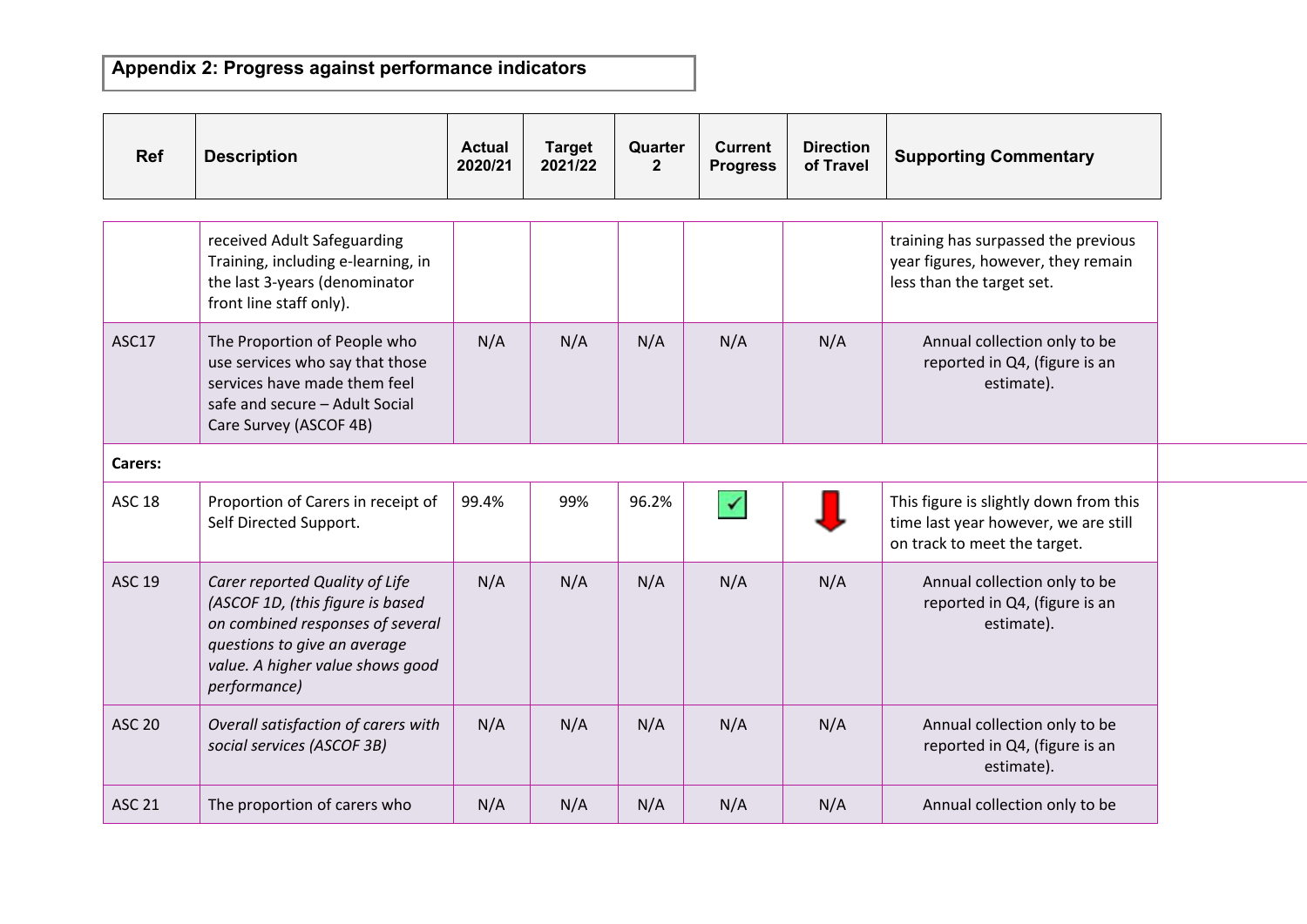| <b>Ref</b>    | <b>Description</b>                                                                                                                                                                         | <b>Actual</b><br>2020/21 | <b>Target</b><br>2021/22 | Quarter<br>$\overline{2}$ | <b>Current</b><br><b>Progress</b> | <b>Direction</b><br>of Travel | <b>Supporting Commentary</b>                                                                                   |
|---------------|--------------------------------------------------------------------------------------------------------------------------------------------------------------------------------------------|--------------------------|--------------------------|---------------------------|-----------------------------------|-------------------------------|----------------------------------------------------------------------------------------------------------------|
|               |                                                                                                                                                                                            |                          |                          |                           |                                   |                               |                                                                                                                |
|               | received Adult Safeguarding<br>Training, including e-learning, in<br>the last 3-years (denominator<br>front line staff only).                                                              |                          |                          |                           |                                   |                               | training has surpassed the previous<br>year figures, however, they remain<br>less than the target set.         |
| ASC17         | The Proportion of People who<br>use services who say that those<br>services have made them feel<br>safe and secure - Adult Social<br>Care Survey (ASCOF 4B)                                | N/A                      | N/A                      | N/A                       | N/A                               | N/A                           | Annual collection only to be<br>reported in Q4, (figure is an<br>estimate).                                    |
| Carers:       |                                                                                                                                                                                            |                          |                          |                           |                                   |                               |                                                                                                                |
| <b>ASC 18</b> | Proportion of Carers in receipt of<br>Self Directed Support.                                                                                                                               | 99.4%                    | 99%                      | 96.2%                     | $\blacktriangledown$              |                               | This figure is slightly down from this<br>time last year however, we are still<br>on track to meet the target. |
| ASC 19        | Carer reported Quality of Life<br>(ASCOF 1D, (this figure is based<br>on combined responses of several<br>questions to give an average<br>value. A higher value shows good<br>performance) | N/A                      | N/A                      | N/A                       | N/A                               | N/A                           | Annual collection only to be<br>reported in Q4, (figure is an<br>estimate).                                    |
| <b>ASC 20</b> | Overall satisfaction of carers with<br>social services (ASCOF 3B)                                                                                                                          | N/A                      | N/A                      | N/A                       | N/A                               | N/A                           | Annual collection only to be<br>reported in Q4, (figure is an<br>estimate).                                    |
| <b>ASC 21</b> | The proportion of carers who                                                                                                                                                               | N/A                      | N/A                      | N/A                       | N/A                               | N/A                           | Annual collection only to be                                                                                   |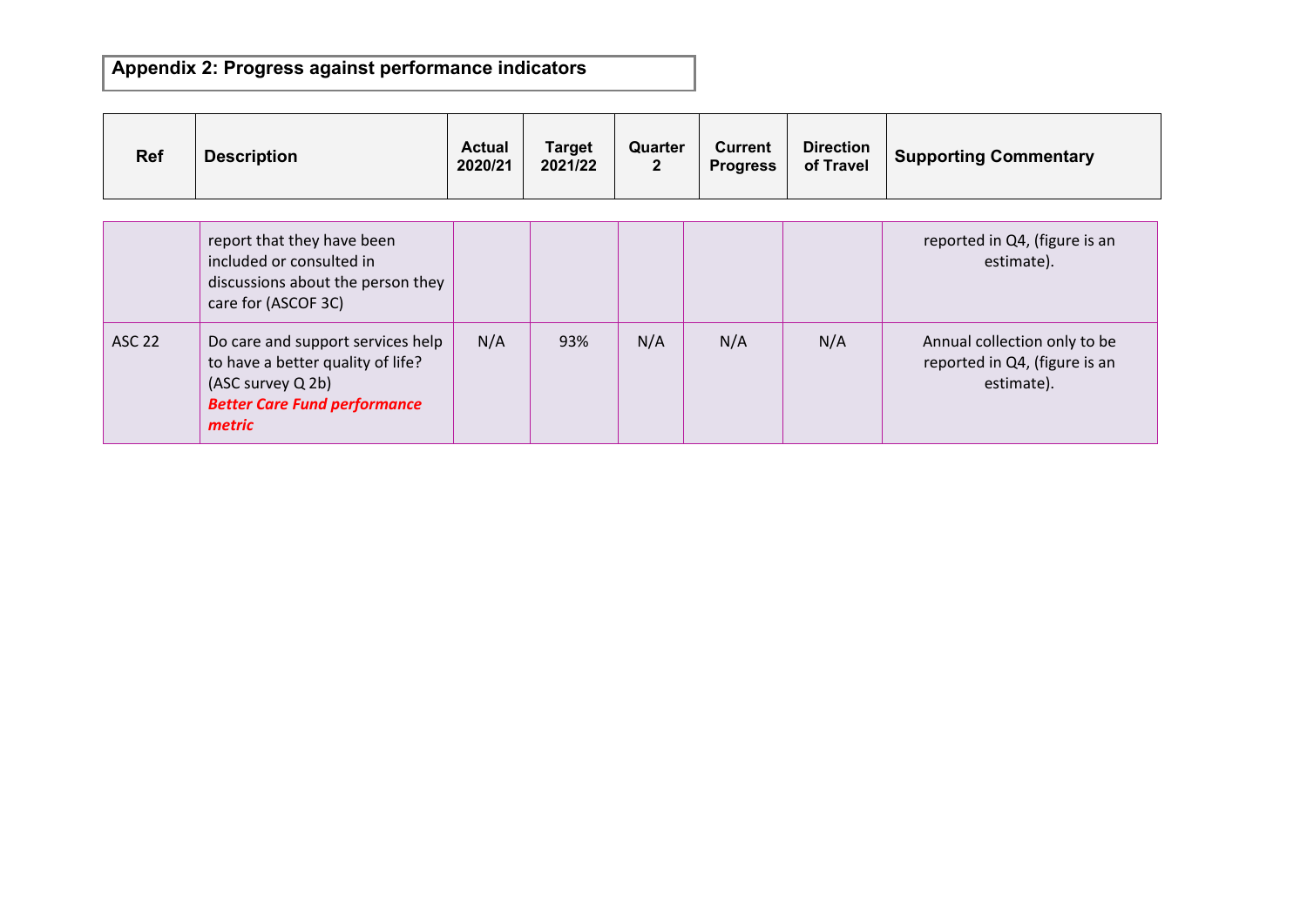| <b>Ref</b>    | <b>Description</b>                                                                                                                           | <b>Actual</b><br>2020/21 | <b>Target</b><br>2021/22 | Quarter<br>$\mathbf{2}$ | Current<br><b>Progress</b> | <b>Direction</b><br>of Travel | <b>Supporting Commentary</b>                                                |
|---------------|----------------------------------------------------------------------------------------------------------------------------------------------|--------------------------|--------------------------|-------------------------|----------------------------|-------------------------------|-----------------------------------------------------------------------------|
|               |                                                                                                                                              |                          |                          |                         |                            |                               |                                                                             |
|               | report that they have been<br>included or consulted in<br>discussions about the person they<br>care for (ASCOF 3C)                           |                          |                          |                         |                            |                               | reported in Q4, (figure is an<br>estimate).                                 |
| <b>ASC 22</b> | Do care and support services help<br>to have a better quality of life?<br>(ASC survey Q 2b)<br><b>Better Care Fund performance</b><br>metric | N/A                      | 93%                      | N/A                     | N/A                        | N/A                           | Annual collection only to be<br>reported in Q4, (figure is an<br>estimate). |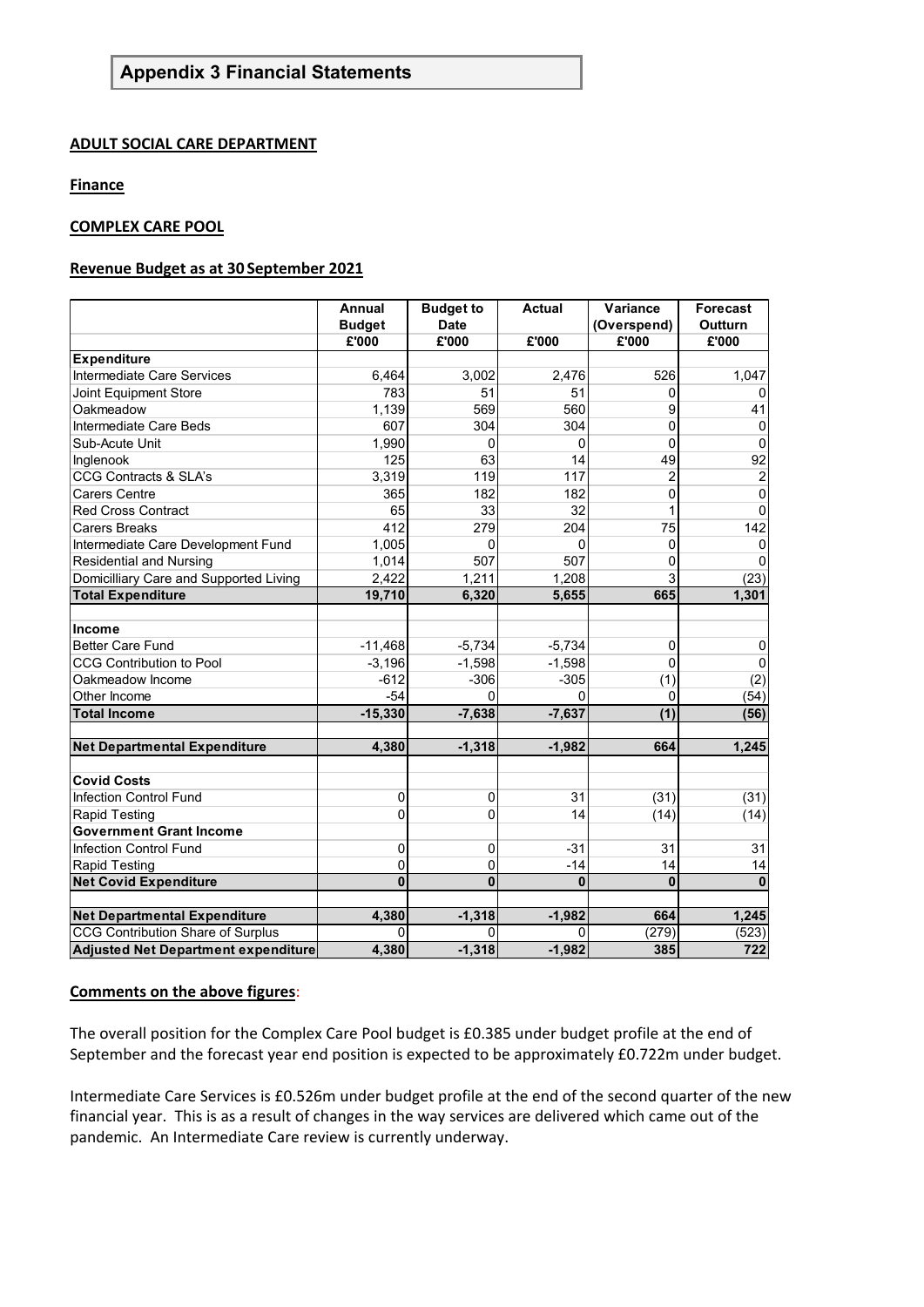#### **ADULT SOCIAL CARE DEPARTMENT**

#### **Finance**

#### **COMPLEX CARE POOL**

#### **Revenue Budget as at 30 September 2021**

|                                            | <b>Annual</b> | <b>Budget to</b> | <b>Actual</b> | Variance       | <b>Forecast</b>  |
|--------------------------------------------|---------------|------------------|---------------|----------------|------------------|
|                                            | <b>Budget</b> | <b>Date</b>      |               | (Overspend)    | <b>Outturn</b>   |
|                                            | £'000         | £'000            | £'000         | £'000          | £'000            |
| <b>Expenditure</b>                         |               |                  |               |                |                  |
| Intermediate Care Services                 | 6,464         | 3,002            | 2,476         | 526            | 1,047            |
| Joint Equipment Store                      | 783           | 51               | 51            | U              |                  |
| Oakmeadow                                  | 1,139         | 569              | 560           | 9              | 41               |
| Intermediate Care Beds                     | 607           | 304              | 304           | 0              | 0                |
| Sub-Acute Unit                             | 1,990         | 0                | 0             | $\Omega$       | 0                |
| Inglenook                                  | 125           | 63               | 14            | 49             | 92               |
| <b>CCG Contracts &amp; SLA's</b>           | 3,319         | 119              | 117           | $\overline{c}$ | $\overline{2}$   |
| <b>Carers Centre</b>                       | 365           | 182              | 182           | 0              | $\mathbf{0}$     |
| Red Cross Contract                         | 65            | 33               | 32            | 1              | 0                |
| <b>Carers Breaks</b>                       | 412           | 279              | 204           | 75             | 142              |
| Intermediate Care Development Fund         | 1,005         | ŋ                | 0             | $\Omega$       | $\Omega$         |
| <b>Residential and Nursing</b>             | 1,014         | 507              | 507           | 0              |                  |
| Domicilliary Care and Supported Living     | 2,422         | 1,211            | 1,208         | 3              | (23)             |
| <b>Total Expenditure</b>                   | 19,710        | 6,320            | 5,655         | 665            | 1,301            |
|                                            |               |                  |               |                |                  |
| <b>Income</b>                              |               |                  |               |                |                  |
| <b>Better Care Fund</b>                    | $-11,468$     | $-5,734$         | $-5,734$      | $\mathbf 0$    | 0                |
| <b>CCG Contribution to Pool</b>            | $-3,196$      | $-1,598$         | $-1,598$      | 0              | 0                |
| Oakmeadow Income                           | $-612$        | $-306$           | $-305$        | (1)            | (2)              |
| Other Income                               | $-54$         | $\Omega$         | $\Omega$      | 0              | (54)             |
| <b>Total Income</b>                        | $-15,330$     | $-7,638$         | $-7,637$      | (1)            | (56)             |
|                                            |               |                  |               |                |                  |
| <b>Net Departmental Expenditure</b>        | 4,380         | $-1,318$         | $-1,982$      | 664            | 1,245            |
|                                            |               |                  |               |                |                  |
| <b>Covid Costs</b>                         |               |                  |               |                |                  |
| Infection Control Fund                     | 0             | $\Omega$         | 31            | (31)           | (31)             |
| Rapid Testing                              | 0             | $\Omega$         | 14            | (14)           | (14)             |
| <b>Government Grant Income</b>             |               |                  |               |                |                  |
| <b>Infection Control Fund</b>              | 0             | $\mathbf{0}$     | $-31$         | 31             | 31               |
| <b>Rapid Testing</b>                       | 0             | 0                | $-14$         | 14             | 14               |
| <b>Net Covid Expenditure</b>               | $\bf{0}$      | $\mathbf{0}$     | 0             | $\bf{0}$       | $\bf{0}$         |
|                                            |               |                  |               |                |                  |
| <b>Net Departmental Expenditure</b>        | 4,380         | $-1,318$         | $-1,982$      | 664            | 1,245            |
| CCG Contribution Share of Surplus          | 0             | $\Omega$         | 0             | (279)          | (523)            |
| <b>Adjusted Net Department expenditure</b> | 4,380         | $-1,318$         | $-1,982$      | 385            | $\overline{722}$ |

#### **Comments on the above figures**:

The overall position for the Complex Care Pool budget is £0.385 under budget profile at the end of September and the forecast year end position is expected to be approximately £0.722m under budget.

Intermediate Care Services is £0.526m under budget profile at the end of the second quarter of the new financial year. This is as a result of changes in the way services are delivered which came out of the pandemic. An Intermediate Care review is currently underway.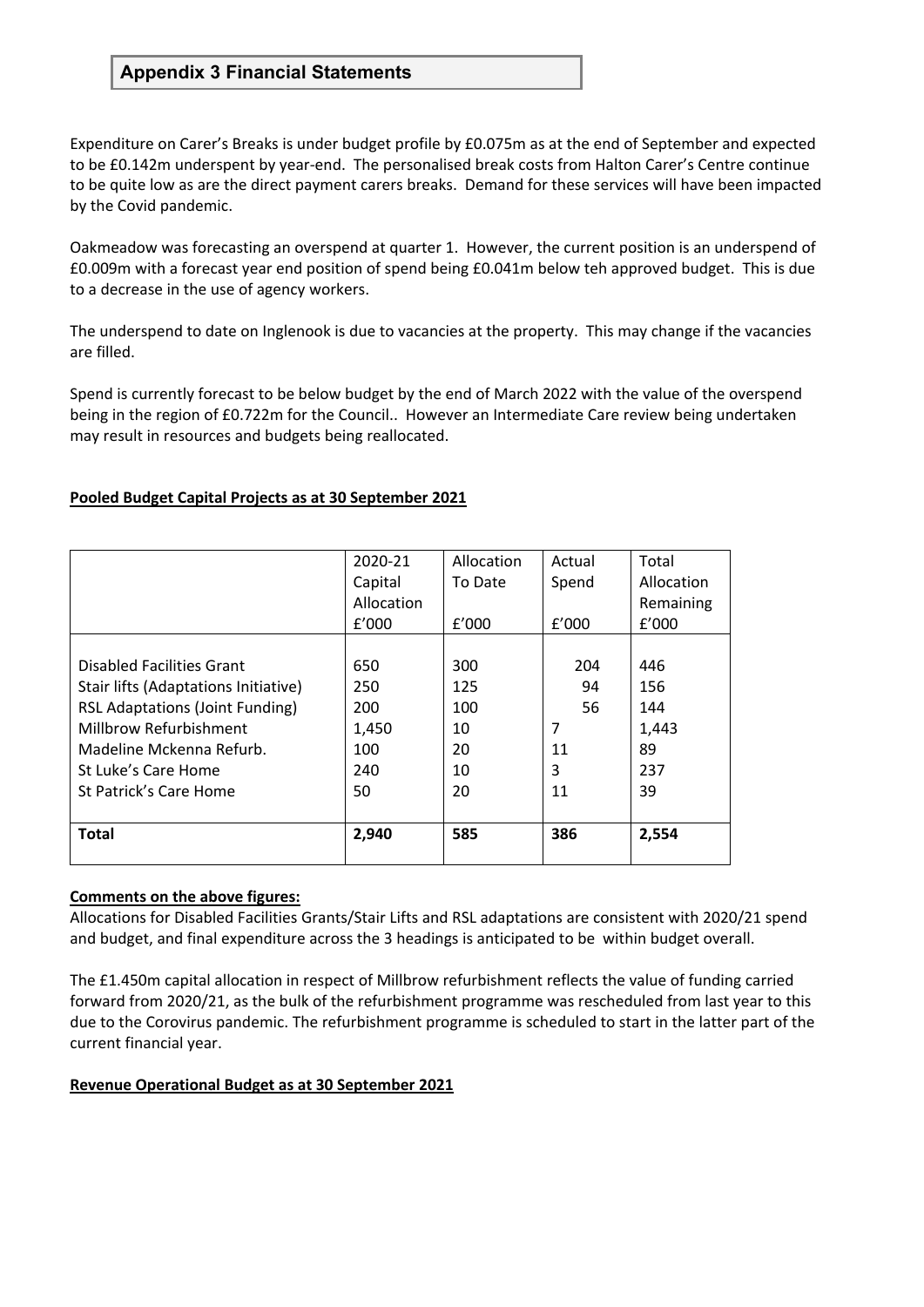Expenditure on Carer's Breaks is under budget profile by £0.075m as at the end of September and expected to be £0.142m underspent by year-end. The personalised break costs from Halton Carer's Centre continue to be quite low as are the direct payment carers breaks. Demand for these services will have been impacted by the Covid pandemic.

Oakmeadow was forecasting an overspend at quarter 1. However, the current position is an underspend of £0.009m with a forecast year end position of spend being £0.041m below teh approved budget. This is due to a decrease in the use of agency workers.

The underspend to date on Inglenook is due to vacancies at the property. This may change if the vacancies are filled.

Spend is currently forecast to be below budget by the end of March 2022 with the value of the overspend being in the region of £0.722m for the Council.. However an Intermediate Care review being undertaken may result in resources and budgets being reallocated.

#### **Pooled Budget Capital Projects as at 30 September 2021**

|                                        | 2020-21    | Allocation | Actual | Total      |
|----------------------------------------|------------|------------|--------|------------|
|                                        | Capital    | To Date    | Spend  | Allocation |
|                                        | Allocation |            |        | Remaining  |
|                                        | f'000      | f'000      | f'000  | f'000      |
|                                        |            |            |        |            |
| Disabled Facilities Grant              | 650        | 300        | 204    | 446        |
| Stair lifts (Adaptations Initiative)   | 250        | 125        | 94     | 156        |
| <b>RSL Adaptations (Joint Funding)</b> | 200        | 100        | 56     | 144        |
| Millbrow Refurbishment                 | 1,450      | 10         | 7      | 1,443      |
| Madeline Mckenna Refurb.               | 100        | 20         | 11     | 89         |
| St Luke's Care Home                    | 240        | 10         | 3      | 237        |
| St Patrick's Care Home                 | 50         | 20         | 11     | 39         |
|                                        |            |            |        |            |
| <b>Total</b>                           | 2,940      | 585        | 386    | 2,554      |
|                                        |            |            |        |            |

#### **Comments on the above figures:**

Allocations for Disabled Facilities Grants/Stair Lifts and RSL adaptations are consistent with 2020/21 spend and budget, and final expenditure across the 3 headings is anticipated to be within budget overall.

The £1.450m capital allocation in respect of Millbrow refurbishment reflects the value of funding carried forward from 2020/21, as the bulk of the refurbishment programme was rescheduled from last year to this due to the Corovirus pandemic. The refurbishment programme is scheduled to start in the latter part of the current financial year.

#### **Revenue Operational Budget as at 30 September 2021**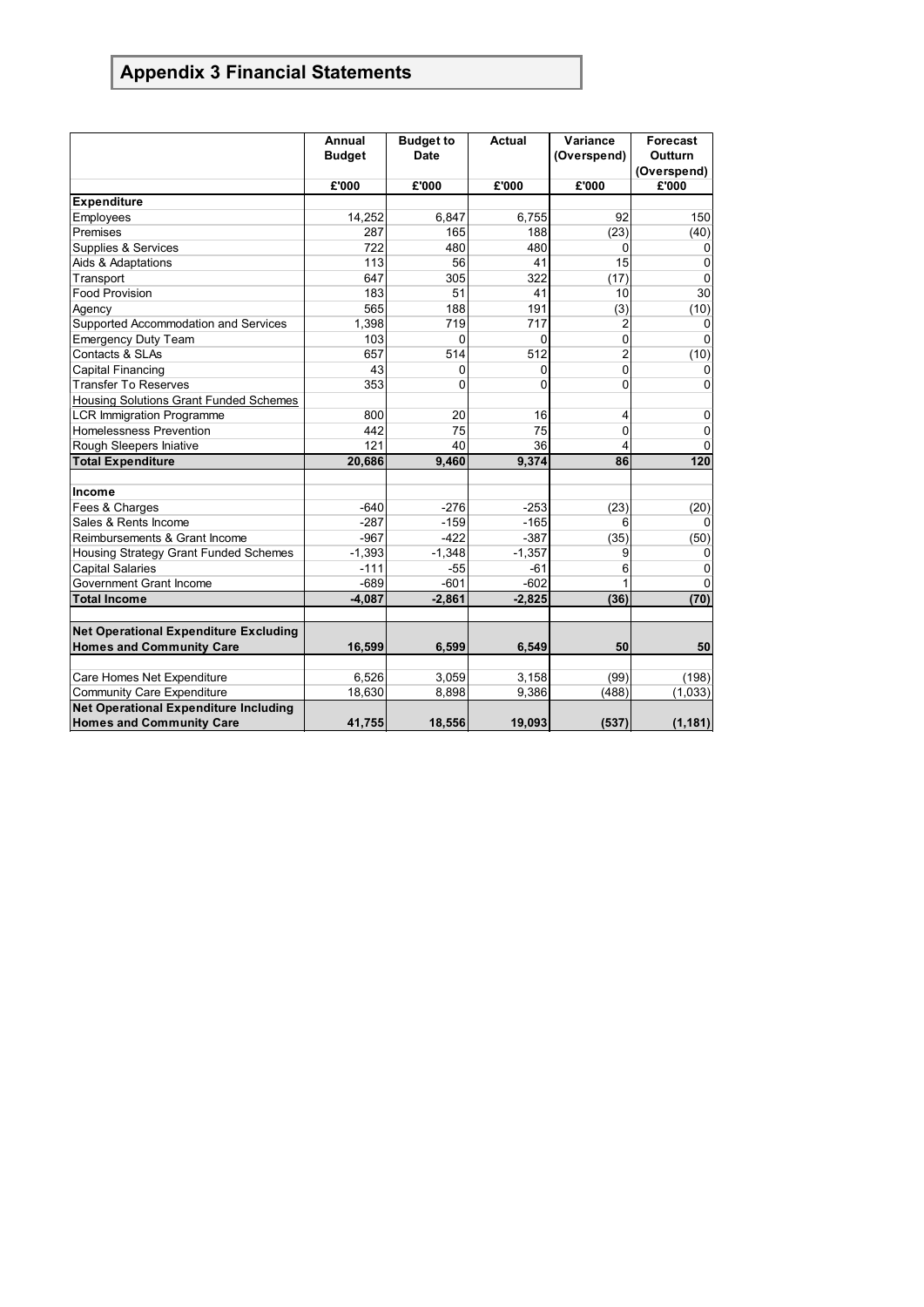|                                              | Annual<br><b>Budget</b> | <b>Budget to</b><br>Date | <b>Actual</b> | Variance<br>(Overspend) | <b>Forecast</b><br>Outturn |
|----------------------------------------------|-------------------------|--------------------------|---------------|-------------------------|----------------------------|
|                                              |                         |                          |               |                         | (Overspend)                |
|                                              | £'000                   | £'000                    | £'000         | £'000                   | £'000                      |
| <b>Expenditure</b>                           |                         |                          |               |                         |                            |
| Employees                                    | 14,252                  | 6,847                    | 6,755         | 92                      | 150                        |
| Premises                                     | 287                     | 165                      | 188           | (23)                    | (40)                       |
| Supplies & Services                          | 722                     | 480                      | 480           | 0                       | 0                          |
| Aids & Adaptations                           | 113                     | 56                       | 41            | 15                      | 0                          |
| Transport                                    | 647                     | 305                      | 322           | (17)                    | $\mathbf 0$                |
| <b>Food Provision</b>                        | 183                     | 51                       | 41            | 10                      | 30                         |
| Agency                                       | 565                     | 188                      | 191           | (3)                     | (10)                       |
| Supported Accommodation and Services         | 1,398                   | 719                      | 717           | $\overline{c}$          | $\mathbf 0$                |
| <b>Emergency Duty Team</b>                   | 103                     | 0                        | 0             | $\overline{0}$          | O                          |
| Contacts & SLAs                              | 657                     | 514                      | 512           | $\overline{2}$          | (10)                       |
| <b>Capital Financing</b>                     | 43                      | 0                        | 0             | 0                       | 0                          |
| <b>Transfer To Reserves</b>                  | 353                     | $\Omega$                 | 0             | 0                       | 0                          |
| Housing Solutions Grant Funded Schemes       |                         |                          |               |                         |                            |
| <b>LCR Immigration Programme</b>             | 800                     | 20                       | 16            | 4                       | 0                          |
| <b>Homelessness Prevention</b>               | 442                     | 75                       | 75            | 0                       | 0                          |
| Rough Sleepers Iniative                      | 121                     | 40                       | 36            | 4                       | 0                          |
| <b>Total Expenditure</b>                     | 20,686                  | 9,460                    | 9,374         | 86                      | 120                        |
|                                              |                         |                          |               |                         |                            |
| Income                                       |                         |                          |               |                         |                            |
| Fees & Charges                               | $-640$                  | $-276$                   | $-253$        | (23)                    | (20)                       |
| Sales & Rents Income                         | $-287$                  | $-159$                   | $-165$        | 6                       |                            |
| Reimbursements & Grant Income                | $-967$                  | $-422$                   | $-387$        | (35)                    | (50)                       |
| Housing Strategy Grant Funded Schemes        | $-1,393$                | $-1,348$                 | $-1,357$      | 9                       | 0                          |
| <b>Capital Salaries</b>                      | $-111$                  | $-55$                    | $-61$         | 6                       | 0                          |
| Government Grant Income                      | $-689$                  | $-601$                   | $-602$        | 1                       | $\Omega$                   |
| <b>Total Income</b>                          | $-4,087$                | $-2,861$                 | $-2,825$      | (36)                    | (70)                       |
| <b>Net Operational Expenditure Excluding</b> |                         |                          |               |                         |                            |
| <b>Homes and Community Care</b>              | 16,599                  | 6,599                    | 6,549         | 50                      | 50                         |
|                                              |                         |                          |               |                         |                            |
| Care Homes Net Expenditure                   | 6,526                   | 3,059                    | 3,158         | (99)                    | (198)                      |
| <b>Community Care Expenditure</b>            | 18,630                  | 8,898                    | 9,386         | (488)                   | (1,033)                    |
| <b>Net Operational Expenditure Including</b> |                         |                          |               |                         |                            |
| <b>Homes and Community Care</b>              | 41,755                  | 18,556                   | 19,093        | (537)                   | (1, 181)                   |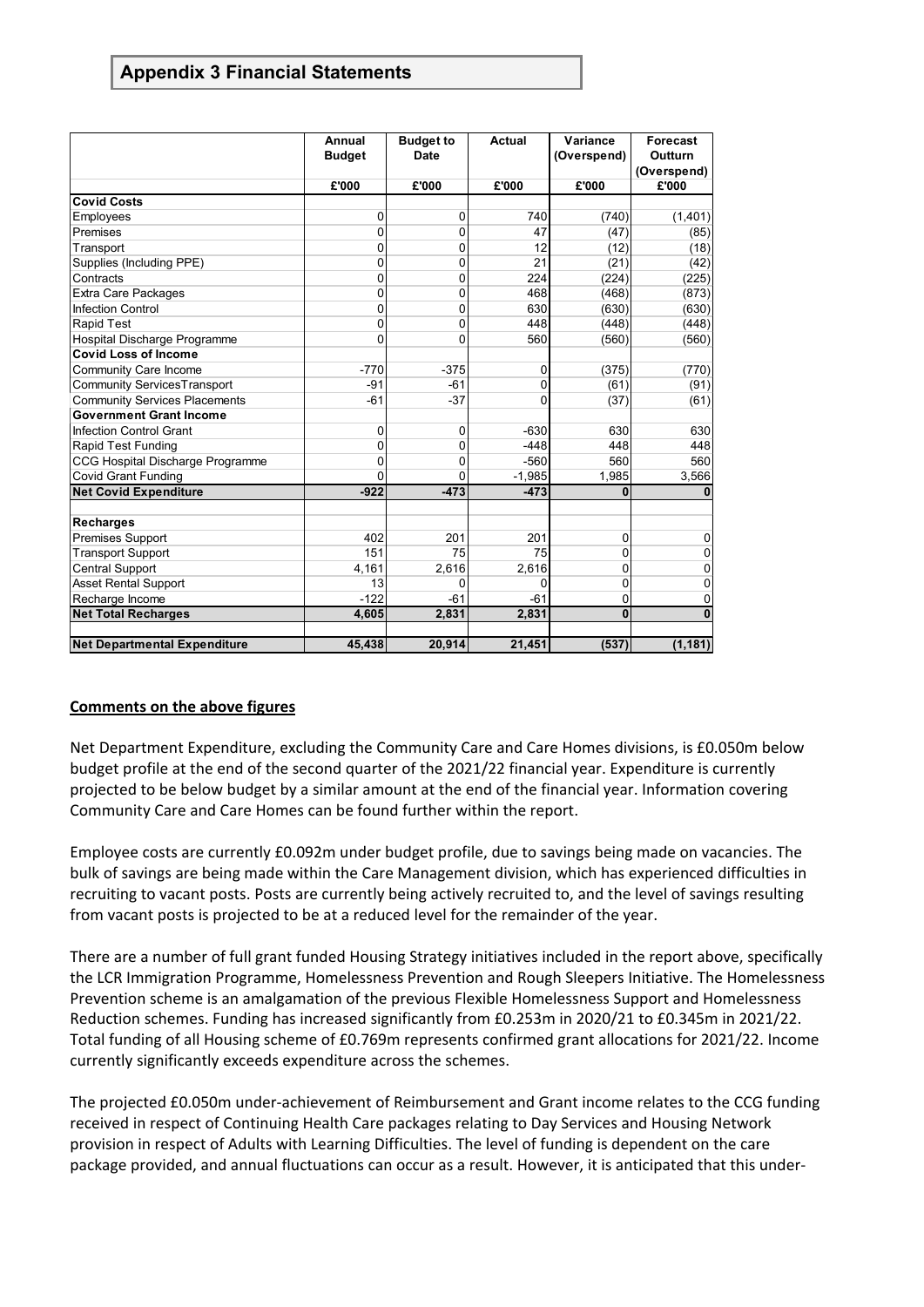|                                      | Annual        | <b>Budget to</b> | <b>Actual</b> | Variance     | <b>Forecast</b> |
|--------------------------------------|---------------|------------------|---------------|--------------|-----------------|
|                                      | <b>Budget</b> | <b>Date</b>      |               | (Overspend)  | Outturn         |
|                                      |               |                  |               |              | (Overspend)     |
|                                      | £'000         | £'000            | £'000         | £'000        | £'000           |
| <b>Covid Costs</b>                   |               |                  |               |              |                 |
| Employees                            | 0             | 0                | 740           | (740)        | (1,401)         |
| Premises                             | 0             | 0                | 47            | (47)         | (85)            |
| Transport                            | 0             | $\mathbf 0$      | 12            | (12)         | (18)            |
| Supplies (Including PPE)             | 0             | 0                | 21            | (21)         | (42)            |
| Contracts                            | 0             | $\mathbf 0$      | 224           | (224)        | (225)           |
| <b>Extra Care Packages</b>           | 0             | 0                | 468           | (468)        | (873)           |
| <b>Infection Control</b>             | 0             | 0                | 630           | (630)        | (630)           |
| <b>Rapid Test</b>                    | 0             | 0                | 448           | (448)        | (448)           |
| Hospital Discharge Programme         | 0             | $\mathbf 0$      | 560           | (560)        | (560)           |
| <b>Covid Loss of Income</b>          |               |                  |               |              |                 |
| Community Care Income                | $-770$        | $-375$           | 0             | (375)        | (770)           |
| <b>Community ServicesTransport</b>   | $-91$         | $-61$            | 0             | (61)         | (91)            |
| <b>Community Services Placements</b> | $-61$         | $-37$            | 0             | (37)         | (61)            |
| <b>Government Grant Income</b>       |               |                  |               |              |                 |
| <b>Infection Control Grant</b>       | 0             | $\mathbf 0$      | $-630$        | 630          | 630             |
| Rapid Test Funding                   | 0             | 0                | $-448$        | 448          | 448             |
| CCG Hospital Discharge Programme     | 0             | 0                | $-560$        | 560          | 560             |
| <b>Covid Grant Funding</b>           | $\Omega$      | 0                | $-1,985$      | 1,985        | 3,566           |
| <b>Net Covid Expenditure</b>         | $-922$        | $-473$           | $-473$        | 0            |                 |
|                                      |               |                  |               |              |                 |
| <b>Recharges</b>                     |               |                  |               |              |                 |
| Premises Support                     | 402           | 201              | 201           | 0            | 0               |
| <b>Transport Support</b>             | 151           | 75               | 75            | 0            | 0               |
| <b>Central Support</b>               | 4,161         | 2,616            | 2,616         | 0            | 0               |
| <b>Asset Rental Support</b>          | 13            | 0                | 0             | 0            | 0               |
| Recharge Income                      | $-122$        | $-61$            | $-61$         | 0            | $\Omega$        |
| <b>Net Total Recharges</b>           | 4,605         | 2,831            | 2,831         | $\mathbf{0}$ | $\bf{0}$        |
|                                      |               |                  |               |              |                 |
| <b>Net Departmental Expenditure</b>  | 45,438        | 20,914           | 21,451        | (537)        | (1, 181)        |

#### **Comments on the above figures**

Net Department Expenditure, excluding the Community Care and Care Homes divisions, is £0.050m below budget profile at the end of the second quarter of the 2021/22 financial year. Expenditure is currently projected to be below budget by a similar amount at the end of the financial year. Information covering Community Care and Care Homes can be found further within the report.

Employee costs are currently £0.092m under budget profile, due to savings being made on vacancies. The bulk of savings are being made within the Care Management division, which has experienced difficulties in recruiting to vacant posts. Posts are currently being actively recruited to, and the level of savings resulting from vacant posts is projected to be at a reduced level for the remainder of the year.

There are a number of full grant funded Housing Strategy initiatives included in the report above, specifically the LCR Immigration Programme, Homelessness Prevention and Rough Sleepers Initiative. The Homelessness Prevention scheme is an amalgamation of the previous Flexible Homelessness Support and Homelessness Reduction schemes. Funding has increased significantly from £0.253m in 2020/21 to £0.345m in 2021/22. Total funding of all Housing scheme of £0.769m represents confirmed grant allocations for 2021/22. Income currently significantly exceeds expenditure across the schemes.

The projected £0.050m under-achievement of Reimbursement and Grant income relates to the CCG funding received in respect of Continuing Health Care packages relating to Day Services and Housing Network provision in respect of Adults with Learning Difficulties. The level of funding is dependent on the care package provided, and annual fluctuations can occur as a result. However, it is anticipated that this under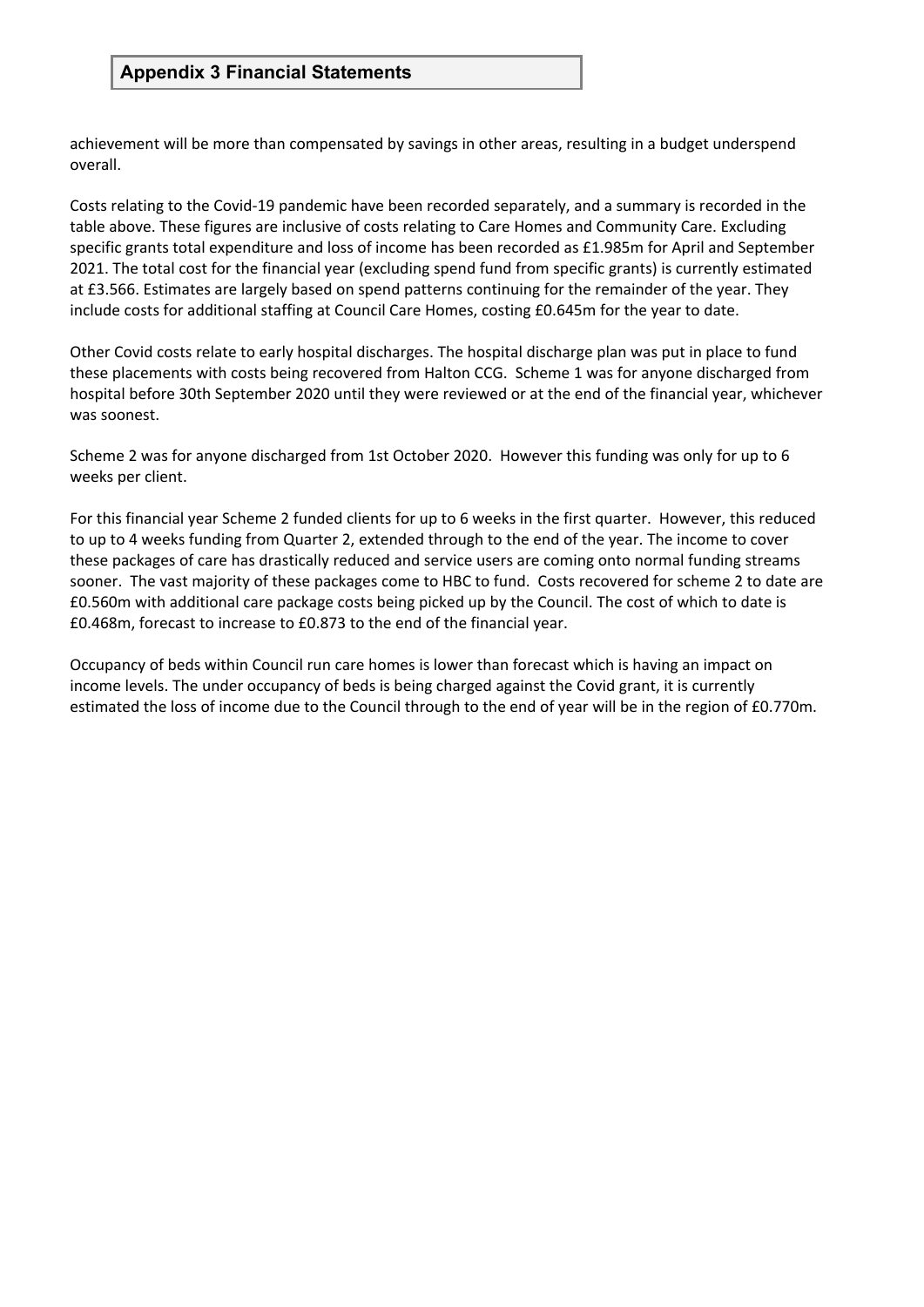achievement will be more than compensated by savings in other areas, resulting in a budget underspend overall.

Costs relating to the Covid-19 pandemic have been recorded separately, and a summary is recorded in the table above. These figures are inclusive of costs relating to Care Homes and Community Care. Excluding specific grants total expenditure and loss of income has been recorded as £1.985m for April and September 2021. The total cost for the financial year (excluding spend fund from specific grants) is currently estimated at £3.566. Estimates are largely based on spend patterns continuing for the remainder of the year. They include costs for additional staffing at Council Care Homes, costing £0.645m for the year to date.

Other Covid costs relate to early hospital discharges. The hospital discharge plan was put in place to fund these placements with costs being recovered from Halton CCG. Scheme 1 was for anyone discharged from hospital before 30th September 2020 until they were reviewed or at the end of the financial year, whichever was soonest.

Scheme 2 was for anyone discharged from 1st October 2020. However this funding was only for up to 6 weeks per client.

For this financial year Scheme 2 funded clients for up to 6 weeks in the first quarter. However, this reduced to up to 4 weeks funding from Quarter 2, extended through to the end of the year. The income to cover these packages of care has drastically reduced and service users are coming onto normal funding streams sooner. The vast majority of these packages come to HBC to fund. Costs recovered for scheme 2 to date are £0.560m with additional care package costs being picked up by the Council. The cost of which to date is £0.468m, forecast to increase to £0.873 to the end of the financial year.

Occupancy of beds within Council run care homes is lower than forecast which is having an impact on income levels. The under occupancy of beds is being charged against the Covid grant, it is currently estimated the loss of income due to the Council through to the end of year will be in the region of £0.770m.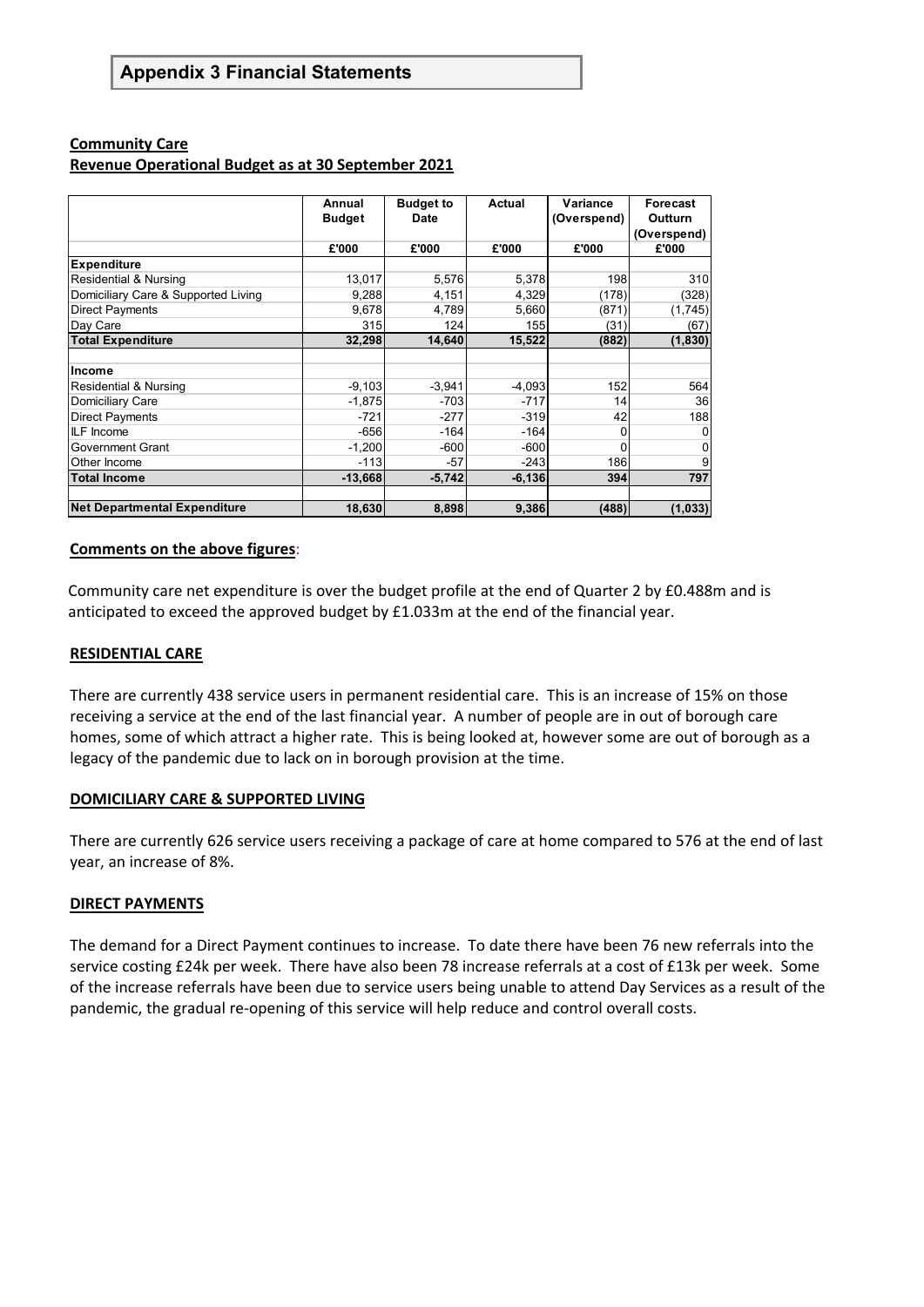#### **Community Care**

#### **Revenue Operational Budget as at 30 September 2021**

|                                     | Annual<br><b>Budget</b> | <b>Budget to</b><br><b>Date</b> | <b>Actual</b> | Variance<br>(Overspend) | Forecast<br>Outturn<br>(Overspend) |
|-------------------------------------|-------------------------|---------------------------------|---------------|-------------------------|------------------------------------|
|                                     | £'000                   | £'000                           | £'000         | £'000                   | £'000                              |
| <b>Expenditure</b>                  |                         |                                 |               |                         |                                    |
| Residential & Nursing               | 13,017                  | 5,576                           | 5,378         | 198                     | 310                                |
| Domiciliary Care & Supported Living | 9,288                   | 4,151                           | 4,329         | (178)                   | (328)                              |
| <b>Direct Payments</b>              | 9,678                   | 4,789                           | 5,660         | (871)                   | (1,745)                            |
| Day Care                            | 315                     | 124                             | 155           | (31)                    | (67)                               |
| <b>Total Expenditure</b>            | 32,298                  | 14,640                          | 15,522        | (882)                   | (1, 830)                           |
|                                     |                         |                                 |               |                         |                                    |
| Income                              |                         |                                 |               |                         |                                    |
| Residential & Nursing               | $-9,103$                | $-3,941$                        | $-4,093$      | 152                     | 564                                |
| Domiciliary Care                    | $-1,875$                | $-703$                          | $-717$        | 14                      | 36                                 |
| <b>Direct Payments</b>              | $-721$                  | $-277$                          | $-319$        | 42                      | 188                                |
| <b>ILF</b> Income                   | $-656$                  | $-164$                          | $-164$        | 0                       |                                    |
| Government Grant                    | $-1,200$                | $-600$                          | $-600$        | 0                       |                                    |
| <b>Other Income</b>                 | $-113$                  | $-57$                           | $-243$        | 186                     |                                    |
| <b>Total Income</b>                 | $-13,668$               | $-5,742$                        | $-6,136$      | 394                     | 797                                |
|                                     |                         |                                 |               |                         |                                    |
| <b>Net Departmental Expenditure</b> | 18,630                  | 8,898                           | 9,386         | (488)                   | (1, 033)                           |

#### **Comments on the above figures**:

Community care net expenditure is over the budget profile at the end of Quarter 2 by £0.488m and is anticipated to exceed the approved budget by £1.033m at the end of the financial year.

#### **RESIDENTIAL CARE**

There are currently 438 service users in permanent residential care. This is an increase of 15% on those receiving a service at the end of the last financial year. A number of people are in out of borough care homes, some of which attract a higher rate. This is being looked at, however some are out of borough as a legacy of the pandemic due to lack on in borough provision at the time.

#### **DOMICILIARY CARE & SUPPORTED LIVING**

There are currently 626 service users receiving a package of care at home compared to 576 at the end of last year, an increase of 8%.

#### **DIRECT PAYMENTS**

The demand for a Direct Payment continues to increase. To date there have been 76 new referrals into the service costing £24k per week. There have also been 78 increase referrals at a cost of £13k per week. Some of the increase referrals have been due to service users being unable to attend Day Services as a result of the pandemic, the gradual re-opening of this service will help reduce and control overall costs.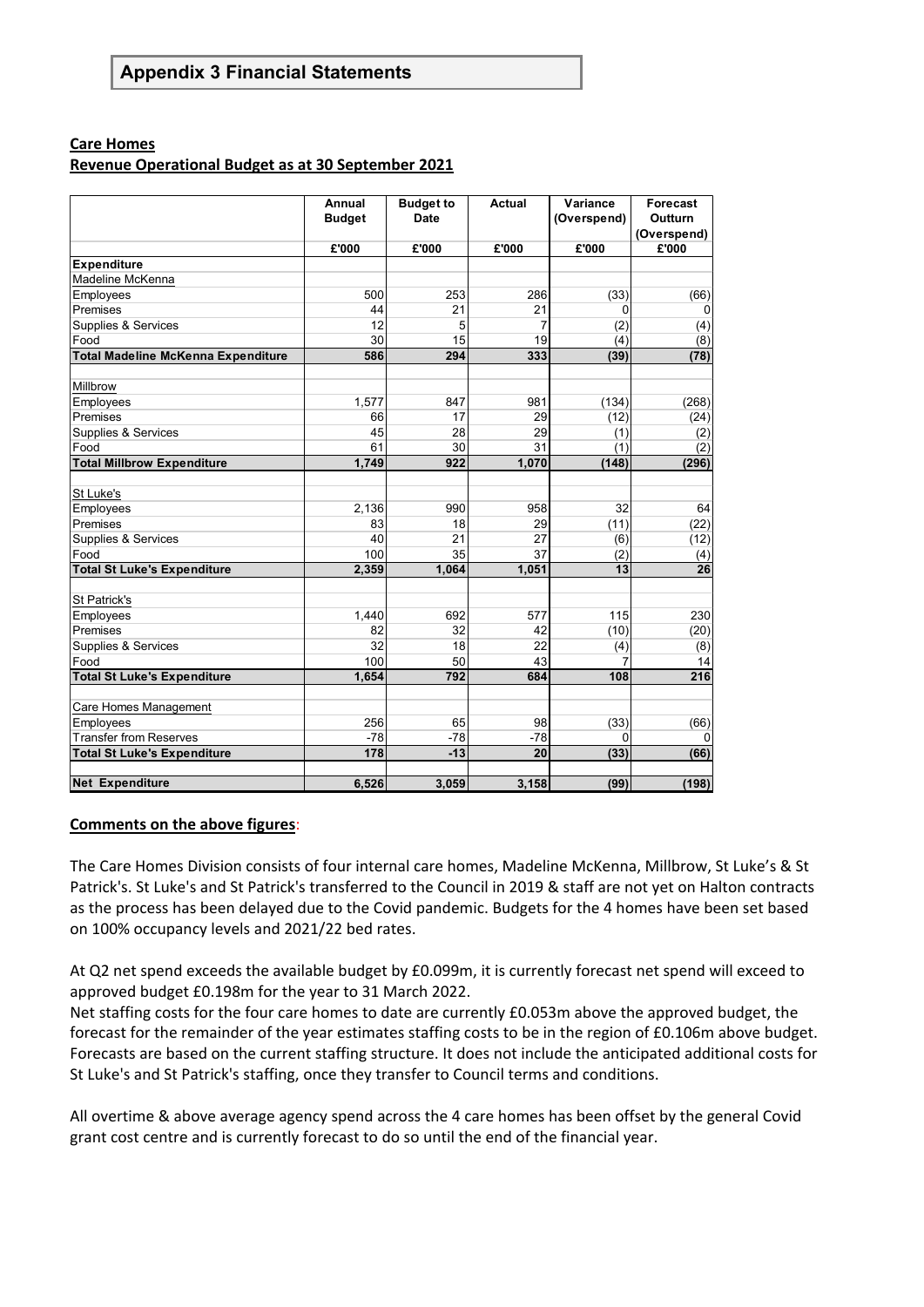#### **Care Homes**

#### **Revenue Operational Budget as at 30 September 2021**

|                                           | Annual<br><b>Budget</b> | <b>Budget to</b><br><b>Date</b> | <b>Actual</b>  | Variance<br>(Overspend) | Forecast<br><b>Outturn</b> |
|-------------------------------------------|-------------------------|---------------------------------|----------------|-------------------------|----------------------------|
|                                           |                         |                                 |                |                         | (Overspend)                |
|                                           | £'000                   | £'000                           | £'000          | £'000                   | £'000                      |
| <b>Expenditure</b>                        |                         |                                 |                |                         |                            |
| Madeline McKenna                          |                         |                                 |                |                         |                            |
| Employees                                 | 500                     | 253                             | 286            | (33)                    | (66)                       |
| Premises                                  | 44                      | 21                              | 21             | 0                       | 0                          |
| Supplies & Services                       | 12                      | 5                               | $\overline{7}$ | (2)                     | (4)                        |
| Food                                      | 30                      | 15                              | 19             | (4)                     | (8)                        |
| <b>Total Madeline McKenna Expenditure</b> | 586                     | 294                             | 333            | (39)                    | (78)                       |
| Millbrow                                  |                         |                                 |                |                         |                            |
| Employees                                 | 1,577                   | 847                             | 981            | (134)                   | (268)                      |
| Premises                                  | 66                      | 17                              | 29             | (12)                    | (24)                       |
| Supplies & Services                       | 45                      | 28                              | 29             | (1)                     | (2)                        |
| Food                                      | 61                      | 30                              | 31             | (1)                     | (2)                        |
| <b>Total Millbrow Expenditure</b>         | 1.749                   | 922                             | 1,070          | (148)                   | (296)                      |
|                                           |                         |                                 |                |                         |                            |
| St Luke's                                 |                         |                                 |                |                         |                            |
| Employees                                 | 2,136                   | 990                             | 958            | 32                      | 64                         |
| Premises                                  | 83                      | 18                              | 29             | (11)                    | (22)                       |
| Supplies & Services                       | 40                      | 21                              | 27             | (6)                     | (12)                       |
| Food                                      | 100                     | 35                              | 37             | (2)                     | (4)                        |
| <b>Total St Luke's Expenditure</b>        | 2,359                   | 1,064                           | 1,051          | 13                      | 26                         |
| St Patrick's                              |                         |                                 |                |                         |                            |
| Employees                                 | 1,440                   | 692                             | 577            | 115                     | 230                        |
| Premises                                  | 82                      | 32                              | 42             | (10)                    | (20)                       |
| Supplies & Services                       | 32                      | 18                              | 22             | (4)                     | (8)                        |
| Food                                      | 100                     | 50                              | 43             | 7                       | 14                         |
| <b>Total St Luke's Expenditure</b>        | 1.654                   | 792                             | 684            | 108                     | $\overline{216}$           |
|                                           |                         |                                 |                |                         |                            |
| Care Homes Management                     |                         |                                 |                |                         |                            |
| Employees                                 | 256                     | 65                              | 98             | (33)                    | (66)                       |
| <b>Transfer from Reserves</b>             | $-78$                   | $-78$                           | $-78$          | 0                       | 0                          |
| <b>Total St Luke's Expenditure</b>        | 178                     | $-13$                           | 20             | (33)                    | (66)                       |
| <b>Net Expenditure</b>                    | 6,526                   | 3,059                           | 3,158          | (99)                    | (198)                      |

#### **Comments on the above figures**:

The Care Homes Division consists of four internal care homes, Madeline McKenna, Millbrow, St Luke's & St Patrick's. St Luke's and St Patrick's transferred to the Council in 2019 & staff are not yet on Halton contracts as the process has been delayed due to the Covid pandemic. Budgets for the 4 homes have been set based on 100% occupancy levels and 2021/22 bed rates.

At Q2 net spend exceeds the available budget by £0.099m, it is currently forecast net spend will exceed to approved budget £0.198m for the year to 31 March 2022.

Net staffing costs for the four care homes to date are currently £0.053m above the approved budget, the forecast for the remainder of the year estimates staffing costs to be in the region of £0.106m above budget. Forecasts are based on the current staffing structure. It does not include the anticipated additional costs for St Luke's and St Patrick's staffing, once they transfer to Council terms and conditions.

All overtime & above average agency spend across the 4 care homes has been offset by the general Covid grant cost centre and is currently forecast to do so until the end of the financial year.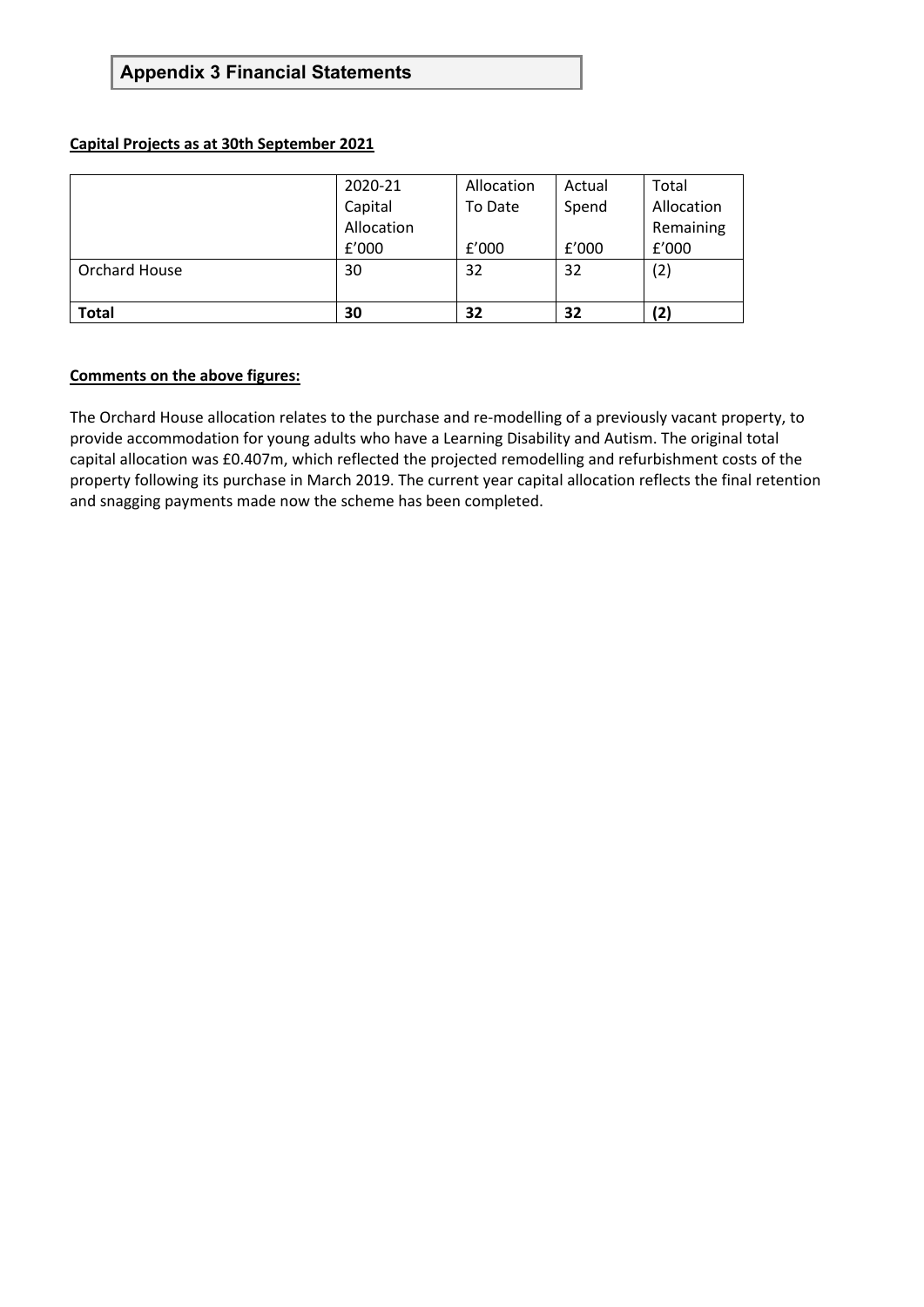#### **Capital Projects as at 30th September 2021**

|               | 2020-21    | Allocation | Actual | Total      |
|---------------|------------|------------|--------|------------|
|               | Capital    | To Date    | Spend  | Allocation |
|               | Allocation |            |        | Remaining  |
|               | f'000      | f'000      | f'000  | f'000      |
| Orchard House | 30         | 32         | 32     | (2)        |
|               |            |            |        |            |
| <b>Total</b>  | 30         | 32         | 32     | (2)        |

#### **Comments on the above figures:**

The Orchard House allocation relates to the purchase and re-modelling of a previously vacant property, to provide accommodation for young adults who have a Learning Disability and Autism. The original total capital allocation was £0.407m, which reflected the projected remodelling and refurbishment costs of the property following its purchase in March 2019. The current year capital allocation reflects the final retention and snagging payments made now the scheme has been completed.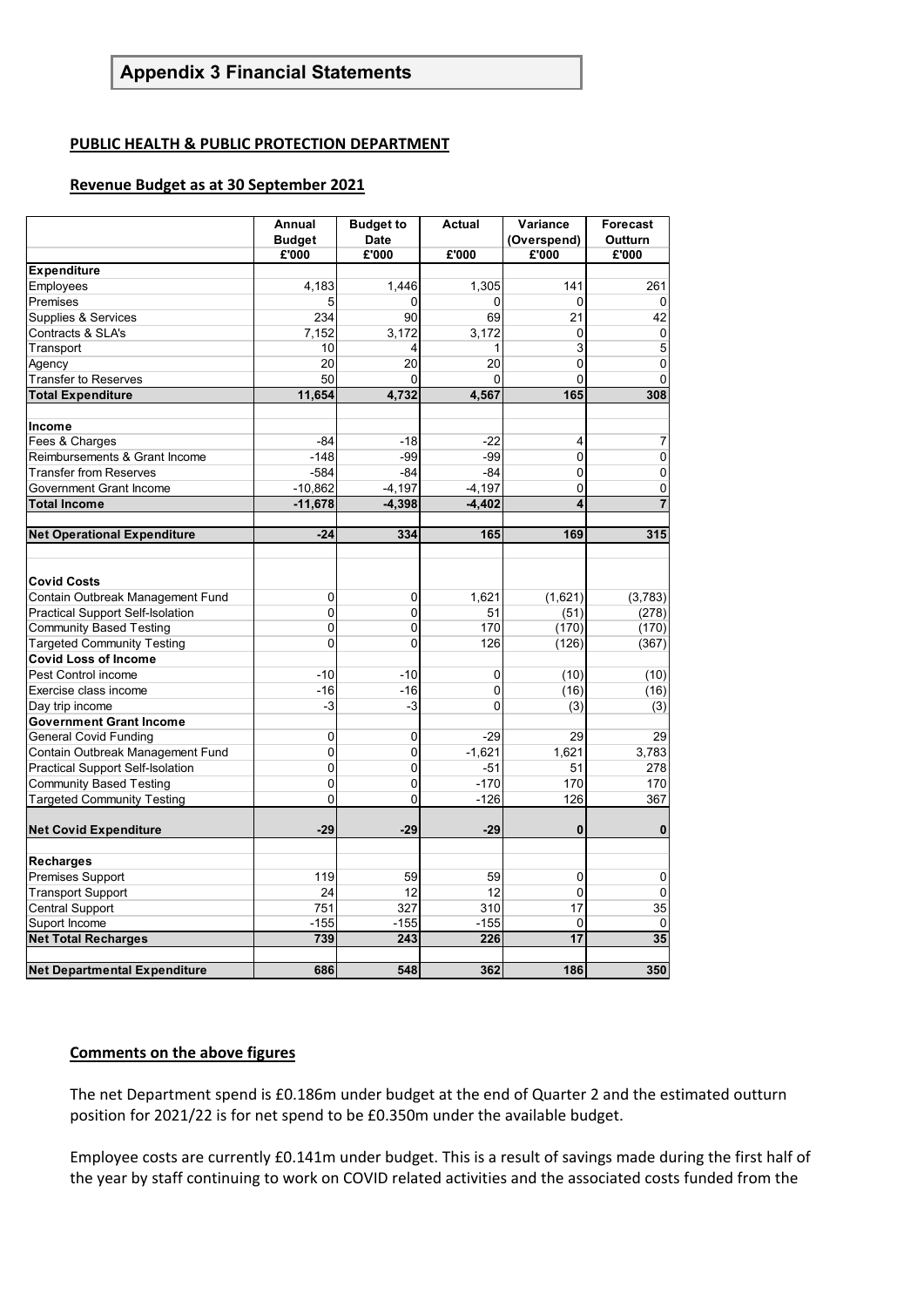#### **PUBLIC HEALTH & PUBLIC PROTECTION DEPARTMENT**

#### **Revenue Budget as at 30 September 2021**

|                                         | Annual<br><b>Budget</b> | <b>Budget to</b><br><b>Date</b> | <b>Actual</b> | Variance<br>(Overspend) | <b>Forecast</b><br>Outturn |
|-----------------------------------------|-------------------------|---------------------------------|---------------|-------------------------|----------------------------|
|                                         | £'000                   | £'000                           | £'000         | £'000                   | £'000                      |
| <b>Expenditure</b>                      |                         |                                 |               |                         |                            |
| Employees                               | 4,183                   | 1,446                           | 1,305         | 141                     | 261                        |
| Premises                                | 5                       | 0                               | $\mathbf 0$   | 0                       | $\mathbf 0$                |
| Supplies & Services                     | 234                     | 90                              | 69            | 21                      | 42                         |
| Contracts & SLA's                       | 7,152                   | 3,172                           | 3,172         | 0                       | 0                          |
| Transport                               | 10                      | 4                               | 1             | 3                       | 5                          |
| Agency                                  | 20                      | 20                              | 20            | 0                       | 0                          |
| <b>Transfer to Reserves</b>             | 50                      | 0                               | 0             | 0                       | $\mathbf 0$                |
| <b>Total Expenditure</b>                | 11,654                  | 4,732                           | 4,567         | 165                     | 308                        |
|                                         |                         |                                 |               |                         |                            |
| Income                                  |                         |                                 |               |                         |                            |
| Fees & Charges                          | $-84$                   | $-18$                           | $-22$         | $\overline{\mathbf{4}}$ | 7                          |
| Reimbursements & Grant Income           | $-148$                  | $-99$                           | $-99$         | $\mathbf 0$             | $\overline{0}$             |
| <b>Transfer from Reserves</b>           | $-584$                  | $-84$                           | $-84$         | 0                       | 0                          |
| Government Grant Income                 | $-10,862$               | $-4,197$                        | $-4,197$      | 0                       | 0                          |
| <b>Total Income</b>                     | $-11,678$               | $-4.398$                        | $-4,402$      | 4                       | $\overline{7}$             |
|                                         |                         |                                 |               |                         |                            |
| <b>Net Operational Expenditure</b>      | $-24$                   | 334                             | 165           | 169                     | 315                        |
|                                         |                         |                                 |               |                         |                            |
|                                         |                         |                                 |               |                         |                            |
| <b>Covid Costs</b>                      |                         |                                 |               |                         |                            |
| Contain Outbreak Management Fund        | 0                       | 0                               | 1,621         | (1,621)                 | (3,783)                    |
| <b>Practical Support Self-Isolation</b> | 0                       | 0                               | 51            | (51)                    | (278)                      |
| <b>Community Based Testing</b>          | 0                       | $\overline{0}$                  | 170           | (170)                   | (170)                      |
| <b>Targeted Community Testing</b>       | 0                       | 0                               | 126           | (126)                   | (367)                      |
| <b>Covid Loss of Income</b>             |                         |                                 |               |                         |                            |
| Pest Control income                     | $-10$                   | $-10$                           | 0             | (10)                    | (10)                       |
| Exercise class income                   | $-16$                   | $-16$                           | $\mathbf 0$   | (16)                    | (16)                       |
| Day trip income                         | $-3$                    | $-3$                            | $\mathbf{0}$  | (3)                     | (3)                        |
| <b>Government Grant Income</b>          |                         |                                 |               |                         |                            |
| <b>General Covid Funding</b>            | 0                       | 0                               | $-29$         | 29                      | 29                         |
| Contain Outbreak Management Fund        | 0                       | 0                               | $-1,621$      | 1,621                   | 3,783                      |
| <b>Practical Support Self-Isolation</b> | 0                       | 0                               | $-51$         | 51                      | 278                        |
| <b>Community Based Testing</b>          | 0                       | 0                               | $-170$        | 170                     | 170                        |
| <b>Targeted Community Testing</b>       | 0                       | 0                               | $-126$        | 126                     | 367                        |
|                                         |                         |                                 |               |                         |                            |
| <b>Net Covid Expenditure</b>            | $-29$                   | $-29$                           | $-29$         | 0                       | $\bf{0}$                   |
|                                         |                         |                                 |               |                         |                            |
| Recharges                               |                         |                                 |               |                         |                            |
| <b>Premises Support</b>                 | 119                     | 59                              | 59            | $\mathbf{0}$            | 0                          |
| <b>Transport Support</b>                | 24                      | 12                              | 12            | $\mathbf 0$             | 0                          |
| <b>Central Support</b>                  | 751                     | 327                             | 310           | 17                      | 35                         |
| Suport Income                           | $-155$                  | $-155$                          | $-155$        | 0                       | 0                          |
| <b>Net Total Recharges</b>              | 739                     | 243                             | 226           | 17                      | 35                         |
|                                         |                         |                                 |               |                         |                            |
| <b>Net Departmental Expenditure</b>     | 686                     | 548                             | 362           | 186                     | 350                        |

#### **Comments on the above figures**

The net Department spend is £0.186m under budget at the end of Quarter 2 and the estimated outturn position for 2021/22 is for net spend to be £0.350m under the available budget.

Employee costs are currently £0.141m under budget. This is a result of savings made during the first half of the year by staff continuing to work on COVID related activities and the associated costs funded from the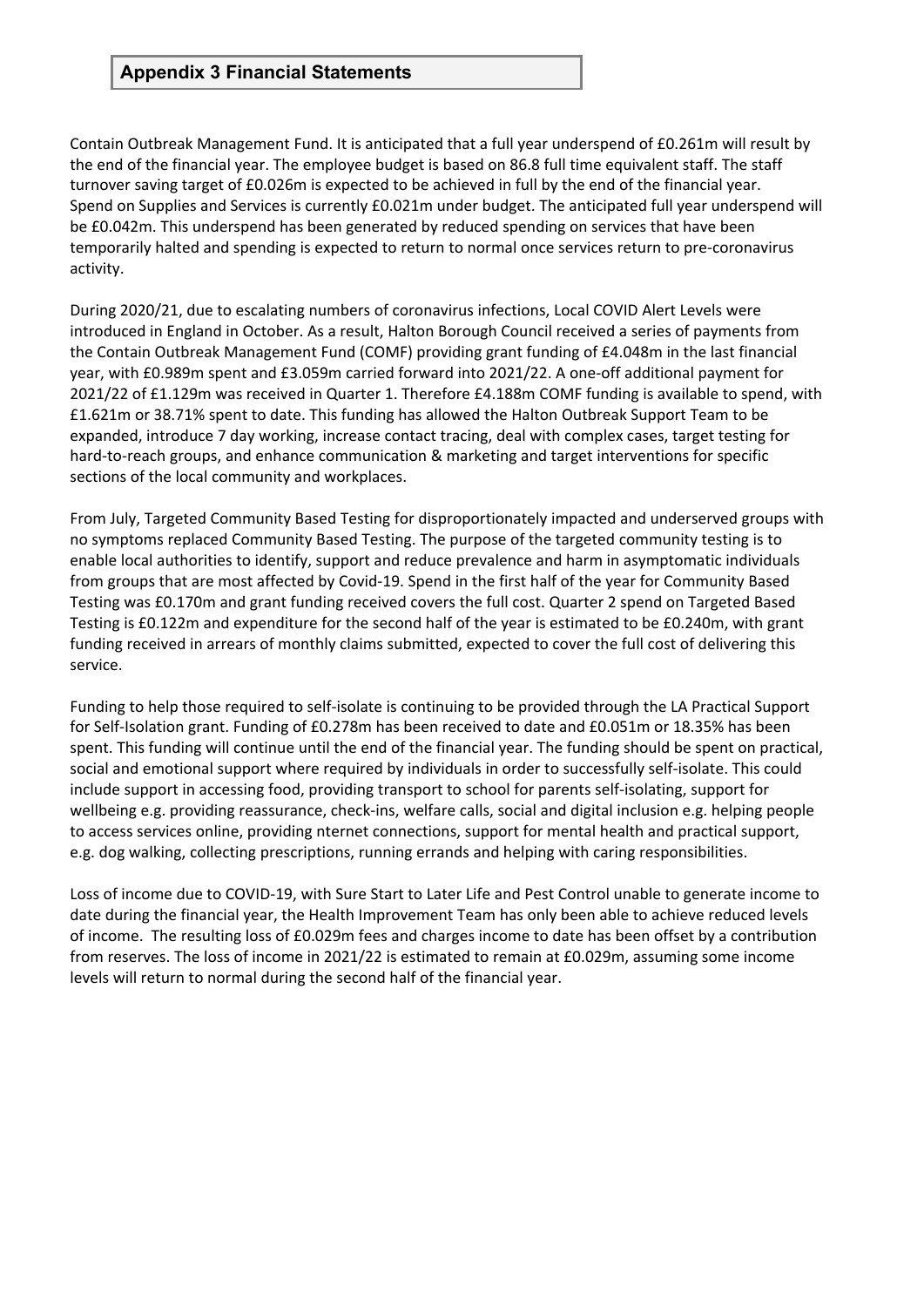Contain Outbreak Management Fund. It is anticipated that a full year underspend of £0.261m will result by the end of the financial year. The employee budget is based on 86.8 full time equivalent staff. The staff turnover saving target of £0.026m is expected to be achieved in full by the end of the financial year. Spend on Supplies and Services is currently £0.021m under budget. The anticipated full year underspend will be £0.042m. This underspend has been generated by reduced spending on services that have been temporarily halted and spending is expected to return to normal once services return to pre-coronavirus activity.

During 2020/21, due to escalating numbers of coronavirus infections, Local COVID Alert Levels were introduced in England in October. As a result, Halton Borough Council received a series of payments from the Contain Outbreak Management Fund (COMF) providing grant funding of £4.048m in the last financial year, with £0.989m spent and £3.059m carried forward into 2021/22. A one-off additional payment for 2021/22 of £1.129m was received in Quarter 1. Therefore £4.188m COMF funding is available to spend, with £1.621m or 38.71% spent to date. This funding has allowed the Halton Outbreak Support Team to be expanded, introduce 7 day working, increase contact tracing, deal with complex cases, target testing for hard-to-reach groups, and enhance communication & marketing and target interventions for specific sections of the local community and workplaces.

From July, Targeted Community Based Testing for disproportionately impacted and underserved groups with no symptoms replaced Community Based Testing. The purpose of the targeted community testing is to enable local authorities to identify, support and reduce prevalence and harm in asymptomatic individuals from groups that are most affected by Covid-19. Spend in the first half of the year for Community Based Testing was £0.170m and grant funding received covers the full cost. Quarter 2 spend on Targeted Based Testing is £0.122m and expenditure for the second half of the year is estimated to be £0.240m, with grant funding received in arrears of monthly claims submitted, expected to cover the full cost of delivering this service.

Funding to help those required to self-isolate is continuing to be provided through the LA Practical Support for Self-Isolation grant. Funding of £0.278m has been received to date and £0.051m or 18.35% has been spent. This funding will continue until the end of the financial year. The funding should be spent on practical, social and emotional support where required by individuals in order to successfully self-isolate. This could include support in accessing food, providing transport to school for parents self-isolating, support for wellbeing e.g. providing reassurance, check-ins, welfare calls, social and digital inclusion e.g. helping people to access services online, providing nternet connections, support for mental health and practical support, e.g. dog walking, collecting prescriptions, running errands and helping with caring responsibilities.

Loss of income due to COVID-19, with Sure Start to Later Life and Pest Control unable to generate income to date during the financial year, the Health Improvement Team has only been able to achieve reduced levels of income. The resulting loss of £0.029m fees and charges income to date has been offset by a contribution from reserves. The loss of income in 2021/22 is estimated to remain at £0.029m, assuming some income levels will return to normal during the second half of the financial year.